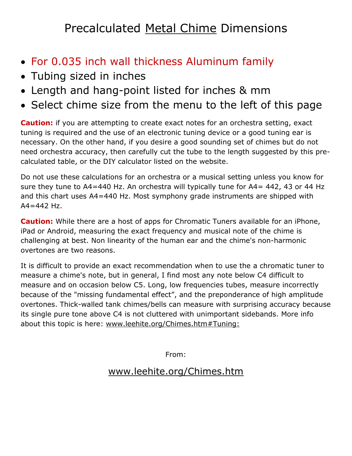## Precalculated Metal Chime Dimensions

- For 0.035 inch wall thickness Aluminum family
- Tubing sized in inches
- Length and hang-point listed for inches & mm
- Select chime size from the menu to the left of this page

**Caution:** if you are attempting to create exact notes for an orchestra setting, exact tuning is required and the use of an electronic tuning device or a good tuning ear is necessary. On the other hand, if you desire a good sounding set of chimes but do not need orchestra accuracy, then carefully cut the tube to the length suggested by this precalculated table, or the DIY calculator listed on the website.

Do not use these calculations for an orchestra or a musical setting unless you know for sure they tune to A4=440 Hz. An orchestra will typically tune for A4= 442, 43 or 44 Hz and this chart uses A4=440 Hz. Most symphony grade instruments are shipped with  $A4 = 442$  Hz.

**Caution:** While there are a host of apps for Chromatic Tuners available for an iPhone, iPad or Android, measuring the exact frequency and musical note of the chime is challenging at best. Non linearity of the human ear and the chime's non-harmonic overtones are two reasons.

It is difficult to provide an exact recommendation when to use the a chromatic tuner to measure a chime's note, but in general, I find most any note below C4 difficult to measure and on occasion below C5. Long, low frequencies tubes, measure incorrectly because of the "missing fundamental effect", and the preponderance of high amplitude overtones. Thick-walled tank chimes/bells can measure with surprising accuracy because its single pure tone above C4 is not cluttered with unimportant sidebands. More info about this topic is here: [www.leehite.org/Chimes.htm#Tuning:](http://leehite.org/Chimes.htm#Tuning:)

From:

## [www.leehite.org/Chimes.htm](http://www.leehite.org/Chimes.htm)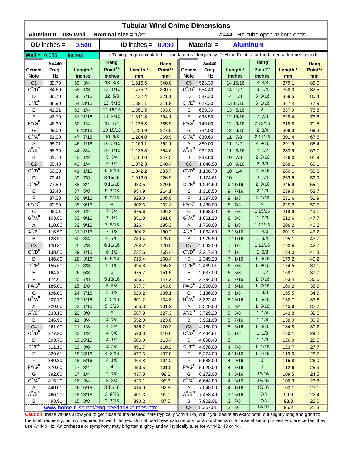| <b>Tubular Wind Chime Dimensions</b><br>Aluminum .035 Wall |                  |                                          |                         |                                                                                                      |                |                                     |                               |                         |                               |                |              |  |  |
|------------------------------------------------------------|------------------|------------------------------------------|-------------------------|------------------------------------------------------------------------------------------------------|----------------|-------------------------------------|-------------------------------|-------------------------|-------------------------------|----------------|--------------|--|--|
|                                                            |                  |                                          | Nominal size = $1/2$ "  |                                                                                                      |                | A=440 Hz, tube open at both ends    |                               |                         |                               |                |              |  |  |
|                                                            | $OD$ inches $=$  | 0.500                                    |                         | ID inches = $0.430$                                                                                  |                |                                     | Material =<br><b>Aluminum</b> |                         |                               |                |              |  |  |
| $\text{Wall} = 0.035$                                      |                  | inches                                   |                         | * Tubing length calculated for fundamental frequency ** Hang Point is for fundamental frequency node |                |                                     |                               |                         |                               |                |              |  |  |
|                                                            | A=440            |                                          | Hang                    |                                                                                                      | Hang           |                                     | $A=440$                       |                         | Hang                          |                | Hang         |  |  |
| Octave                                                     | Freq.            | Length *                                 | Point**                 | Length *                                                                                             | Point**        | Octave                              | Freq.                         | Length *                | Point**                       | Length *       | Point**      |  |  |
| <b>Note</b>                                                | Hz               | inches                                   | inches                  | mm                                                                                                   | mm             | <b>Note</b>                         | Hz                            | inches                  | inches                        | mm             | mm           |  |  |
| C <sub>1</sub><br>$C^{\#}/D^b$                             | 32.70            | 59 3/4                                   | 13 3/8                  | 1,516.5                                                                                              | 340.0          | C <sub>5</sub><br>$C^{\#}/D^D$      | 523.30                        | 14 15/16                | $3 \frac{3}{8}$               | 379.1          | 85.0         |  |  |
|                                                            | 34.60            | 58 1/8                                   | 13 1/16<br>12 5/8       | 1,475.2                                                                                              | 330.7          |                                     | 554.40                        | $14 \t1/2$<br>14 1/8    | $3 \t1/4$<br>$3 \frac{3}{16}$ | 368.0          | 82.5         |  |  |
| D<br>$D^{\#}/E^b$                                          | 36.70<br>38.90   | 56 7/16<br>54 13/16                      | 12 5/16                 | 1,432.4<br>1,391.1                                                                                   | 321.1<br>311.9 | D<br>$D^{\prime\prime}/E^b$         | 587.30<br>622.30              | 13 11/16                | $3 \frac{1}{16}$              | 358.5<br>347.4 | 80.4<br>77.9 |  |  |
| Ε                                                          | 41.21            | 53 1/4                                   | 11 15/16                | 1,351.5                                                                                              | 303.0          | Ε                                   | 659.30                        | 13 5/16                 | 3                             | 337.9          | 75.8         |  |  |
| F                                                          | 43.70            | 51 11/16                                 | 11 9/16                 | 1,311.8                                                                                              | 294.1          | F                                   | 698.50                        | 12 15/16                | $2 \t7/8$                     | 328.4          | 73.6         |  |  |
| $F# / G^D$                                                 | 46.30            | 50 1/4                                   | $11 \t1/4$              | 1,275.3                                                                                              | 285.9          | $F#/\overline{G}^D$                 | 740.00                        | 12 9/16                 | 2 13/16                       | 318.8          | 71.5         |  |  |
| G                                                          | 49.00            | 48 13/16                                 | 10 15/16                | 1,238.9                                                                                              | 277.8          | G                                   | 784.00                        | 12 3/16                 | $2 \frac{3}{4}$               | 309.3          | 69.3         |  |  |
| $G^{\#}/A^D$                                               | 51.90            | 47 7/16                                  | 10 5/8                  | 1,204.0                                                                                              | 269.9          | $G^H/A^D$                           | 830.60                        | 7/8<br>11               | 2 11/16                       | 301.4          | 67.6         |  |  |
| Α                                                          | 55.01            | 1/16<br>46                               | 10 5/16                 | 1,169.1                                                                                              | 262.1          | Α                                   | 880.00                        | 1/2<br>11               | 29/16                         | 291.9          | 65.4         |  |  |
| $A^{\#}/B^{\circ}$                                         | 58.30            | 3/4<br>44                                | 10 1/16                 | 1,135.8                                                                                              | 254.6          | $A^H/B^D$                           | 932.30                        | 3/16<br>11              | $2 \frac{1}{2}$               | 283.9          | 63.7         |  |  |
| В                                                          | 61.70            | 1/2<br>43                                | $9 \frac{3}{4}$         | 1,104.0                                                                                              | 247.5          | B                                   | 987.80                        | 7/8<br>10 <sup>°</sup>  | 27/16                         | 276.0          | 61.9         |  |  |
| C <sub>2</sub>                                             | 65.40            | 1/4<br>42                                | 9 1/2                   | 1,072.3                                                                                              | 240.4          | C <sub>6</sub>                      | 1,046.50                      | 9/16<br>10 <sup>°</sup> | $2 \frac{3}{8}$               | 268.1          | 60.1         |  |  |
| $C^{\prime\prime}/D^D$                                     | 69.30            | 1/16<br>41                               | 93/16                   | 1,042.2                                                                                              | 233.7          | $C^{\prime\prime}/D^D$              | 1,108.70                      | 10 <sup>°</sup><br>1/4  | $2\,5/16$                     | 260.1          | 58.3         |  |  |
| D                                                          | 73.41            | 7/8<br>39                                | 8 15/16                 | 1,012.0                                                                                              | 226.9          | D                                   | 1,174.61                      | 10                      | $2 \frac{1}{4}$               | 253.8          | 56.9         |  |  |
| $D^{\pi}/E^b$                                              | 77.80            | 3/4<br>38                                | 8 11/16                 | 983.5                                                                                                | 220.5          | $D^{\pi}/E^b$                       | 1,244.50                      | 9 11/16                 | $2 \frac{3}{16}$              | 245.9          | 55.1         |  |  |
| Е                                                          | 82.40            | 5/8<br>37                                | 8 7/16                  | 954.9                                                                                                | 214.1          | Е                                   | 1,318.50                      | 97/16                   | $2 \frac{1}{8}$               | 239.5          | 53.7         |  |  |
| F                                                          | 87.30            | 9/16<br>36                               | 8 3/16                  | 928.0                                                                                                | 208.0          | F                                   | 1,397.00                      | 1/8<br>9                | $2 \frac{1}{16}$              | 231.6          | 51.9         |  |  |
| $F# / G^D$                                                 | 92.50            | 9/16<br>35                               | 8                       | 902.6                                                                                                | 202.4          | $F# / G^D$                          | 1,480.00                      | 8 7/8                   | $\overline{2}$                | 225.2          | 50.5         |  |  |
| G                                                          | 98.01            | 1/2<br>34                                | $7 \frac{3}{4}$         | 875.6                                                                                                | 196.3          | G                                   | 1,568.00                      | 5/8<br>8                | 1 15/16                       | 218.9          | 49.1         |  |  |
| $G^{\#}/A^D$                                               | 103.80           | 9/16<br>33                               | 71/2                    | 851.8                                                                                                | 191.0          | $G^{\#}/A^D$                        | 1,661.20                      | 8 3/8                   | 17/8                          | 212.6          | 47.7         |  |  |
| Α                                                          | 110.00           | 32 9/16                                  | $7\;5/16$               | 826.4                                                                                                | 185.3          | Α                                   | 1,760.00                      | 8 1/8                   | 1 13/16                       | 206.2          | 46.2         |  |  |
| $A^H/B^D$                                                  | 116.50           | 31 11/16                                 | 71/8                    | 804.2                                                                                                | 180.3          | $A^{\#}/B^D$                        | 1,864.60                      | 7 15/16                 | $1 \frac{3}{4}$               | 201.5          | 45.2         |  |  |
| B                                                          | 123.50           | 30 3/4                                   | 67/8                    | 780.4                                                                                                | 175.0          | B                                   | 1,975.50                      | 7 11/16                 | $1 \frac{3}{4}$               | 195.1          | 43.7         |  |  |
| C <sub>3</sub>                                             | 130.81           | 7/8<br>29                                | 6 11/16                 | 758.2                                                                                                | 170.0          | C <sub>7</sub>                      | 2,093.00                      | $7 \t1/2$               | 1 11/16                       | 190.4          | 42.7         |  |  |
| $C^{\#}/D^b$                                               | 138.60           | 1/16<br>29                               | $6 \frac{1}{2}$         | 737.6                                                                                                | 165.4          | $C^{\prime\prime}/D^{\prime\prime}$ | 2,217.40                      | $7 \t1/4$               | $1 \t5/8$                     | 184.0          | 41.3         |  |  |
| D                                                          | 146.80           | 3/16<br>28                               | 6 5/16                  | 715.4                                                                                                | 160.4          | D                                   | 2,349.20                      | 7 1/16                  | 19/16                         | 179.2          | 40.2         |  |  |
| $D^{\#}/E^b$                                               | 155.60           | 3/8<br>27                                | $6 \frac{1}{8}$         | 694.8                                                                                                | 155.8          | $D^{\#}/E^b$                        | 2,489.01                      | 6 7/8                   | 19/16                         | 174.5          | 39.1         |  |  |
| Е                                                          | 164.80           | 26 5/8                                   | 6                       | 675.7                                                                                                | 151.5          | Е                                   | 2,637.00                      | $6\quad 5/8$            | 11/2                          | 168.1          | 37.7         |  |  |
| F                                                          | 174.61           | 25 7/8                                   | $5\overline{13/16}$     | 656.7                                                                                                | 147.2          | F                                   | 2,794.00                      | 6 7/16                  | 17/16                         | 163.4          | 36.6         |  |  |
| $F#/\overline{G}^{\sigma}$                                 | 185.00           | 25 1/8                                   | $5 \frac{5}{8}$         | 637.7                                                                                                | 143.0          | $F# / G^D$                          | 2,960.00                      | $6\quad 5/16$           | 17/16                         | 160.2          | 35.9         |  |  |
| G                                                          | 196.00           | 24 7/16                                  | $5 \frac{1}{2}$         | 620.2                                                                                                | 139.1          | G                                   | 3,136.00                      | $6 \t1/8$               | $1 \frac{3}{8}$               | 155.5          | 34.9         |  |  |
| $G^{\#}/A^D$                                               | 207.70           | 23 11/16                                 | 5 5/16                  | 601.2                                                                                                | 134.8          | $G^H/A^U$                           | 3,322.41                      | 5 15/16                 | $1 \frac{5}{16}$              | 150.7          | 33.8         |  |  |
| A<br>$A^{\#}/B^D$                                          | 220.00           | 23 1/16                                  | 5 3/16                  | 585.3                                                                                                | 131.2          | A                                   | 3,520.00                      | $5 \frac{3}{4}$         | $1 \frac{5}{16}$              | 145.9          | 32.7         |  |  |
|                                                            | 233.10           | 22 3/8                                   | 5                       | 567.9                                                                                                | 127.3          | $A^{\#}/B^D$                        | 3,729.20                      | 5 5/8                   | $1 \t1/4$<br>11/4             | 142.8          | 32.0         |  |  |
| В<br>C <sub>4</sub>                                        | 246.90           | 21 3/4<br>$21 \t1/8$                     | 47/8<br>$4 \frac{3}{4}$ | 552.0                                                                                                | 123.8          | B<br>C8                             | 3,951.00                      | 5 7/16                  | $1 \frac{3}{16}$              | 138.0          | 30.9<br>30.2 |  |  |
| $C^{\pi}/D^b$                                              | 261.60           |                                          | $4\,5/8$                | 536.2                                                                                                | 120.2          | $C^{\pi}/D^b$                       | 4,186.00                      | 5 5/16<br>$5 \t1/8$     | $1 \t1/8$                     | 134.8          |              |  |  |
| D                                                          | 277.20<br>293.70 | $20 \t1/2$                               | 4 1/2                   | 520.3                                                                                                | 116.6          | D                                   | 4,434.81                      | 5                       | $1 \t1/8$                     | 130.1          | 29.2<br>28.5 |  |  |
| $D^{\#}/E^b$                                               | 311.10           | 19 15/16<br>19 3/8                       | $4 \frac{3}{8}$         | 506.0<br>491.7                                                                                       | 113.4<br>110.2 | $D^{\#}/E^b$                        | 4,698.40<br> 4,978.00         | $4 \t7/8$               | 11/16                         | 126.9<br>123.7 | 27.7         |  |  |
|                                                            | 329.61           |                                          | 4 3/16                  |                                                                                                      |                |                                     |                               | 4 11/16                 | 11/16                         |                | 26.7         |  |  |
| Е<br>$\mathsf F$                                           | 349.30           | 18 13/16<br>18 5/16                      | $4 \frac{1}{8}$         | 477.5<br>464.8                                                                                       | 107.0<br>104.2 | Е<br>F                              | 5,274.00<br>5,588.00          | 4 9/16                  | $\mathbf{1}$                  | 119.0<br>115.8 | 26.0         |  |  |
| $F#/\overline{G}^D$                                        | 370.00           | 17 3/4                                   | $\overline{4}$          | 450.5                                                                                                | 101.0          | $F# / G^D$                          | 5,920.00                      | 4 7/16                  | $\mathbf{1}$                  | 112.6          | 25.3         |  |  |
| G                                                          | 392.00           | 17 1/4                                   | $3 \frac{7}{8}$         | 437.8                                                                                                | 98.2           | G                                   | 6,272.00                      | 4 5/16                  | 15/16                         | 109.5          | 24.5         |  |  |
| $G^{\#}/A^D$                                               | 415.30           | 16 3/4                                   | $3 \frac{3}{4}$         | 425.1                                                                                                | 95.3           | $G^H/A^D$                           | 6,644.80                      | 4 3/16                  | 15/16                         | 106.3          | 23.8         |  |  |
| Α                                                          | 440.01           | 16 5/16                                  | 3 11/16                 | 414.0                                                                                                | 92.8           | A                                   | 7,040.00                      | 4 1/16                  | 15/16                         | 103.1          | 23.1         |  |  |
| $A^H/B^D$                                                  | 466.20           | 15 13/16                                 | 39/16                   | 401.3                                                                                                | 90.0           | $A^H/B^D$                           | 7,458.40                      | 3 15/16                 | 7/8                           | 99.9           | 22.4         |  |  |
| В                                                          | 493.91           | 15 3/8                                   | 37/16                   | 390.2                                                                                                | 87.5           | B                                   | 7,902.01                      | $3 \t7/8$               | 7/8                           | 98.3           | 22.0         |  |  |
|                                                            |                  | www.home.fuse.net/engineering/Chimes.htm |                         |                                                                                                      |                | C <sub>9</sub>                      | 8,367.01                      | $3 \frac{3}{4}$         | 13/16                         | 95.2           | 21.3         |  |  |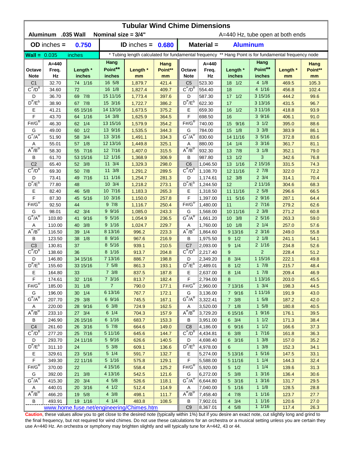| <b>Tubular Wind Chime Dimensions</b>     |                    |                        |                                   |                                                                                                      |                |                                     |                      |                 |                    |                |              |  |  |
|------------------------------------------|--------------------|------------------------|-----------------------------------|------------------------------------------------------------------------------------------------------|----------------|-------------------------------------|----------------------|-----------------|--------------------|----------------|--------------|--|--|
|                                          | Aluminum .035 Wall |                        | Nominal size $= 3/4"$             |                                                                                                      |                | A=440 Hz, tube open at both ends    |                      |                 |                    |                |              |  |  |
|                                          | $OD$ inches $=$    | 0.750                  | Material =<br>ID inches = $0.680$ |                                                                                                      |                |                                     |                      | <b>Aluminum</b> |                    |                |              |  |  |
| $Wall = 0.035$                           |                    | inches                 |                                   | * Tubing length calculated for fundamental frequency ** Hang Point is for fundamental frequency node |                |                                     |                      |                 |                    |                |              |  |  |
|                                          | A=440              |                        | Hang                              |                                                                                                      | Hang           |                                     | $A=440$              |                 | Hang               |                | Hang         |  |  |
| Octave                                   | Freq.              | Length *               | Point**                           | Length *                                                                                             | Point**        | Octave                              | Freq.                | Length *        | Point**            | Length *       | Point**      |  |  |
| <b>Note</b>                              | Hz                 | inches                 | inches                            | mm                                                                                                   | mm             | <b>Note</b>                         | Hz                   | inches          | inches             | mm             | mm           |  |  |
| C <sub>1</sub>                           | 32.70              | 74 1/16                | 16 5/8                            | 1,879.7                                                                                              | 421.4          | C <sub>5</sub><br>$C^{\#}/D^D$      | 523.30               | $18 \t1/2$      | 4 1/8              | 469.5          | 105.3        |  |  |
| $C^{\#}/D^b$                             | 34.60              | 72                     | 16 1/8                            | 1,827.4                                                                                              | 409.7          |                                     | 554.40               | 18              | 4 1/16             | 456.8          | 102.4        |  |  |
| D<br>$D^{\#}/E^b$                        | 36.70              | 7/8<br>69<br>67 7/8    | 15 11/16<br>15 3/16               | 1,773.4                                                                                              | 397.6<br>386.2 | D<br>$D^{\prime\prime}/E^b$         | 587.30               | $17 \t1/2$      | 3 15/16<br>3 13/16 | 444.2          | 99.6         |  |  |
|                                          | 38.90              |                        | 14 13/16                          | 1,722.7                                                                                              |                |                                     | 622.30               | 17<br>1/2       | 3 11/16            | 431.5          | 96.7         |  |  |
| Ε<br>F                                   | 41.21<br>43.70     | 65 15/16<br>1/16<br>64 | 14 3/8                            | 1,673.5<br>1,625.9                                                                                   | 375.2<br>364.5 | Ε<br>F                              | 659.30<br>698.50     | 16<br>16        | 39/16              | 418.8<br>406.1 | 93.9<br>91.0 |  |  |
| $F# / G^D$                               | 46.30              | 1/4<br>62              | 13 15/16                          | 1,579.9                                                                                              | 354.2          | $F# / G^D$                          | 740.00               | 9/16<br>15      | $3 \frac{1}{2}$    | 395.0          | 88.6         |  |  |
| G                                        | 49.00              | 1/2<br>60              | 13 9/16                           | 1,535.5                                                                                              | 344.3          | G                                   | 784.00               | 1/8<br>15       | $3 \frac{3}{8}$    | 383.9          | 86.1         |  |  |
| $G^{\#}/A^D$                             | 51.90              | 3/4<br>58              | 13 3/16                           | 1,491.1                                                                                              | 334.3          | $G^H/A^D$                           | 830.60               | 14 11/16        | 35/16              | 372.8          | 83.6         |  |  |
| Α                                        | 55.01              | 1/8<br>57              | 12 13/16                          | 1,449.8                                                                                              | 325.1          | Α                                   | 880.00               | 1/4<br>14       | $3 \frac{3}{16}$   | 361.7          | 81.1         |  |  |
| $A^{\#}/B^{\circ}$                       | 58.30              | 55 7/16                | 12 7/16                           | 1,407.0                                                                                              | 315.5          | $A^H/B^D$                           | 932.30               | 7/8<br>13       | $3 \frac{1}{8}$    | 352.1          | 79.0         |  |  |
| В                                        | 61.70              | 53 15/16               | 12 1/16                           | 1,368.9                                                                                              | 306.9          | B                                   | 987.80               | 1/2<br>13       | 3                  | 342.6          | 76.8         |  |  |
| C <sub>2</sub>                           | 65.40              | 52 3/8                 | $11 \t3/4$                        | 1,329.3                                                                                              | 298.0          | C <sub>6</sub>                      | 1,046.50             | 13 1/16         | 2 15/16            | 331.5          | 74.3         |  |  |
| $C^{\prime\prime}/D^D$                   | 69.30              | 50 7/8                 | 11 3/8                            | 1,291.2                                                                                              | 289.5          | $C^{\prime\prime}/D^D$              | 1,108.70             | 12 11/16        | $2 \frac{7}{8}$    | 322.0          | 72.2         |  |  |
| D                                        | 73.41              | 7/16<br>49             | 11 1/16                           | 1,254.7                                                                                              | 281.3          | D                                   | 1,174.61             | 12 3/8          | $2 \frac{3}{4}$    | 314.1          | 70.4         |  |  |
| $D^{\pi}/E^b$                            | 77.80              | 48                     | 10 3/4                            | 1,218.2                                                                                              | 273.1          | $D^{\pi}/E^b$                       | 1,244.50             | 12              | 2 11/16            | 304.6          | 68.3         |  |  |
| Е                                        | 82.40              | 5/8<br>46              | 10 7/16                           | 1,183.3                                                                                              | 265.3          | Е                                   | 1,318.50             | 11 11/16        | 25/8               | 296.6          | 66.5         |  |  |
| F                                        | 87.30              | 5/16<br>45             | 10 3/16                           | 1,150.0                                                                                              | 257.8          | F                                   | 1,397.00             | 11<br>5/16      | 29/16              | 287.1          | 64.4         |  |  |
| $F# / G^D$                               | 92.50              | 44                     | 97/8                              | 1,116.7                                                                                              | 250.4          | $F#/\overline{G}^D$                 | 1,480.00             | 11              | 27/16              | 279.2          | 62.6         |  |  |
| G                                        | 98.01              | 3/4<br>42              | 9 9/16                            | 1,085.0                                                                                              | 243.3          | G                                   | 1,568.00             | 10 11/16        | $2 \frac{3}{8}$    | 271.2          | 60.8         |  |  |
| $G^{\#}/A^D$                             | 103.80             | 9/16<br>41             | 95/16                             | 1,054.9                                                                                              | 236.5          | $G^{\#}/A^D$                        | 1,661.20             | 10 3/8          | $2\;5/16$          | 263.3          | 59.0         |  |  |
| Α                                        | 110.00             | 3/8<br>40              | 9 1/16                            | 1,024.7                                                                                              | 229.7          | Α                                   | 1,760.00             | $10 \t1/8$      | $2 \frac{1}{4}$    | 257.0          | 57.6         |  |  |
| $A^H/B^D$                                | 116.50             | 1/4<br>39              | 8 13/16                           | 996.2                                                                                                | 223.3          | $A^{\#}/B^D$                        | 1,864.60             | 9 13/16         | $2 \frac{3}{16}$   | 249.0          | 55.8         |  |  |
| B                                        | 123.50             | 1/8<br>38              | $8 \frac{9}{16}$                  | 967.6                                                                                                | 216.9          | B                                   | 1,975.50             | $9 \t1/2$       | $2 \frac{1}{8}$    | 241.1          | 54.1         |  |  |
| C <sub>3</sub>                           | 130.81             | 37                     | 8 5/16                            | 939.1                                                                                                | 210.5          | C <sub>7</sub>                      | 2,093.00             | 9 1/4           | $2 \frac{1}{16}$   | 234.8          | 52.6         |  |  |
| $C^{\#}/D^b$                             | 138.60             | 36                     | 8 1/16                            | 913.7                                                                                                | 204.8          | $C^{\prime\prime}/D^{\prime\prime}$ | 2,217.40             | 9               | $\overline{2}$     | 228.4          | 51.2         |  |  |
| D                                        | 146.80             | 34 15/16               | 7 13/16                           | 886.7                                                                                                | 198.8          | D                                   | 2,349.20             | 8 3/4           | 1 15/16            | 222.1          | 49.8         |  |  |
| $D^{\#}/E^b$                             | 155.60             | 33 15/16               | 75/8                              | 861.3                                                                                                | 193.1          | $D^{\#}/E^b$                        | 2,489.01             | 1/2<br>8        | 17/8               | 215.7          | 48.4         |  |  |
| Е                                        | 164.80             | 33                     | $7 \frac{3}{8}$                   | 837.5                                                                                                | 187.8          | Е                                   | 2,637.00             | 8 1/4           | 17/8               | 209.4          | 46.9         |  |  |
| F                                        | 174.61             | 32 1/16                | $7 \frac{3}{16}$                  | 813.7                                                                                                | 182.4          | F                                   | 2,794.00             | 8               | 1 13/16            | 203.0          | 45.5         |  |  |
| $F#/\overline{G}^{\sigma}$               | 185.00             | 1/8<br>31              | $\overline{7}$                    | 790.0                                                                                                | 177.1          | $F# / G^D$                          | 2,960.00             | 7 13/16         | $1 \frac{3}{4}$    | 198.3          | 44.5         |  |  |
| G                                        | 196.00             | 30 1/4                 | 6 13/16                           | 767.7                                                                                                | 172.1          | G                                   | 3,136.00             | 7 9/16          | 1 11/16            | 191.9          | 43.0         |  |  |
| $G^{\#}/A^D$                             | 207.70             | 29 3/8                 | 6 9/16                            | 745.5                                                                                                | 167.1          | $G^H/A^D$                           | 3,322.41             | $7 \frac{3}{8}$ | $1 \t5/8$          | 187.2          | 42.0         |  |  |
| A                                        | 220.00             | 28 9/16                | $6 \frac{3}{8}$                   | 724.9                                                                                                | 162.5          | Α                                   | 3,520.00             | $7 \t1/8$       | $1 \t5/8$          | 180.8          | 40.5         |  |  |
| $A^{\#}/B^D$                             | 233.10             | 27 3/4                 | $6 \t1/4$                         | 704.3                                                                                                | 157.9          | $A^{\#}/B^D$                        | 3,729.20             | 6 15/16         | $1 \frac{9}{16}$   | 176.1          | 39.5         |  |  |
| В                                        | 246.90             | 26 15/16               | 6 1/16                            | 683.7                                                                                                | 153.3          | B                                   | 3,951.00             | $6 \t3/4$       | $1 \t1/2$          | 171.3          | 38.4         |  |  |
| C <sub>4</sub><br>$C^{\pi}/D^b$          | 261.60             | 26 3/16                | $5 \frac{7}{8}$                   | 664.6                                                                                                | 149.0          | C8<br>$C^{\pi}/D^b$                 | 4,186.00             | 6 9/16          | 11/2<br>17/16      | 166.6          | 37.3         |  |  |
|                                          | 277.20             | 25 7/16                | 5 11/16<br>5 9/16                 | 645.6                                                                                                | 144.7          |                                     | 4,434.81             | $6 \frac{3}{8}$ | $1 \frac{3}{8}$    | 161.8          | 36.3         |  |  |
| D<br>$D^{\#}/E^b$                        | 293.70<br>311.10   | 24 11/16               | $5 \frac{3}{8}$                   | 626.6                                                                                                | 140.5          | D<br>$D^{\#}/E^b$                   | 4,698.40             | 6 3/16          | $1 \frac{3}{8}$    | 157.0          | 35.2         |  |  |
|                                          | 329.61             | 24<br>23 5/16          | $5 \t1/4$                         | 609.1                                                                                                | 136.6          |                                     | 4,978.00             | 6<br>5 13/16    | $1 \frac{5}{16}$   | 152.3          | 34.1<br>33.1 |  |  |
| Е<br>$\mathsf F$                         | 349.30             | 22 11/16               | 5 1/16                            | 591.7<br>575.8                                                                                       | 132.7<br>129.1 | Е<br>F                              | 5,274.00<br>5,588.00 | 5 11/16         | $1 \t1/4$          | 147.5<br>144.3 | 32.4         |  |  |
| $F# / G^D$                               | 370.00             | 22                     | 4 15/16                           | 558.4                                                                                                | 125.2          | $F# / G^D$                          | 5,920.00             | $5 \t1/2$       | 11/4               | 139.6          | 31.3         |  |  |
| G                                        | 392.00             | 3/8<br>21              | 4 13/16                           | 542.5                                                                                                | 121.6          | G                                   | 6,272.00             | 5 3/8           | $1 \frac{3}{16}$   | 136.4          | 30.6         |  |  |
| $G^{\#}/A^D$                             | 415.30             | 20 3/4                 | $4\,5/8$                          | 526.6                                                                                                | 118.1          | $G^H/A^D$                           | 6,644.80             | 5 3/16          | $1 \frac{3}{16}$   | 131.7          | 29.5         |  |  |
| Α                                        | 440.01             | 20 3/16                | 4 1/2                             | 512.4                                                                                                | 114.9          | A                                   | 7,040.00             | 5 1/16          | $1 \t1/8$          | 128.5          | 28.8         |  |  |
| $\overline{A^{\#}/B^{\sigma}}$           | 466.20             | 19 5/8                 | $4 \frac{3}{8}$                   | 498.1                                                                                                | 111.7          | $A^H/B^D$                           | 7,458.40             | 4 7/8           | $1 \t1/16$         | 123.7          | 27.7         |  |  |
| В                                        | 493.91             | 19 1/16                | 4 1/4                             | 483.8                                                                                                | 108.5          | B                                   | 7,902.01             | $4 \t3/4$       | 11/16              | 120.6          | 27.0         |  |  |
| www.home.fuse.net/engineering/Chimes.htm |                    |                        |                                   |                                                                                                      |                |                                     | 8,367.01             | 4 5/8           | 11/16              | 117.4          | 26.3         |  |  |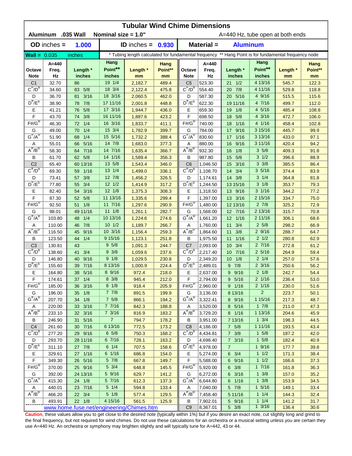| Material =<br>$OD$ inches $=$<br>1.000<br><b>Aluminum</b><br>ID inches = $0.930$<br>* Tubing length calculated for fundamental frequency ** Hang Point is for fundamental frequency node<br>$Wall = 0.035$<br>inches<br>Hang<br>Hang<br>A=440<br>A=440<br>Hang<br>Hang<br>Point**<br>Point**<br>Length *<br>Length *<br>Point**<br>Length *<br>Point**<br>Freq.<br>Length *<br>Octave<br>Freq.<br>Octave<br>Hz<br>inches<br>Hz<br><b>Note</b><br>inches<br><b>Note</b><br>inches<br>inches<br>mm<br>mm<br>mm<br>mm<br>19 1/4<br>4 13/16<br>523.30<br>C <sub>1</sub><br>32.70<br>86<br>2,182.7<br>489.4<br>C <sub>5</sub><br>$21 \t1/2$<br>545.7<br>122.3<br>$C^{\#}/D^b$<br>$C^{\#}/D^D$<br>5/8<br>18 3/4<br>475.8<br>554.40<br>7/8<br>4 11/16<br>34.60<br>83<br>2,122.4<br>20<br>529.8<br>118.8<br>18 3/16<br>4 9/16<br>3/16<br>20 5/16<br>D<br>36.70<br>2,060.5<br>462.0<br>D<br>587.30<br>515.5<br>115.6<br>81<br>$D^{\#}/E^b$<br>$D^{\#}/E^b$<br>7/8<br>17 11/16<br>448.8<br>622.30<br>19 11/16<br>4 7/16<br>112.0<br>38.90<br>78<br>2,001.8<br>499.7<br>4 5/16<br>5/8<br>17 3/16<br>Ε<br>41.21<br>436.0<br>Е<br>659.30<br>485.4<br>108.8<br>76<br>1,944.7<br>19<br>1/8<br>F<br>4 3/16<br>3/8<br>16 11/16<br>F<br>43.70<br>423.2<br>5/8<br>74<br>1,887.6<br>698.50<br>18<br>472.7<br>106.0<br>$F# / G^D$<br>$F#/\overline{G}^D$<br>1/4<br>16 3/16<br>1/16<br>4 1/16<br>46.30<br>72<br>1,833.7<br>411.1<br>740.00<br>18<br>458.4<br>102.8<br>15 3/4<br>1/4<br>3 15/16<br>G<br>9/16<br>G<br>49.00<br>70<br>1,782.9<br>399.7<br>784.00<br>17<br>445.7<br>99.9<br>$G^{\#}/A^D$<br>$G^H/A^D$<br>15 5/16<br>1/4<br>3 13/16<br>388.4<br>830.60<br>1/16<br>97.1<br>51.90<br>1,732.2<br>17<br>433.0<br>68<br>5/16<br>9/16<br>55.01<br>14 7/8<br>880.00<br>3 11/16<br>94.2<br>66<br>1,683.0<br>377.3<br>16<br>420.4<br>Α<br>Α<br>$A^{\#}/B^D$<br>$A^H/B^D$<br>14 7/16<br>35/8<br>7/16<br>366.7<br>932.30<br>1/8<br>58.30<br>64<br>1,635.4<br>16<br>409.3<br>91.8<br>$3 \frac{1}{2}$<br>5/8<br>14 1/16<br>356.3<br>987.80<br>5/8<br>В<br>61.70<br>62<br>1,589.4<br>В<br>15<br>396.6<br>88.9<br>$3 \frac{3}{8}$<br>C <sub>2</sub><br>60 13/16<br>13 5/8<br>346.0<br>C <sub>6</sub><br>3/16<br>65.40<br>1,543.4<br>1,046.50<br>385.5<br>86.4<br>15<br>$C^{\#}/D^D$<br>$C^{\prime\prime}/D^D$<br>35/16<br>13 1/4<br>336.1<br>1,108.70<br>69.30<br>1/16<br>1,499.0<br>3/4<br>374.4<br>83.9<br>59<br>14<br>12 7/8<br>$3 \t1/4$<br>3/8<br>D<br>73.41<br>1,456.2<br>326.5<br>D<br>1,174.61<br>14<br>3/8<br>364.8<br>81.8<br>57<br>$D^{\pi}/E^b$<br>$D^{\pi}/E^b$<br>$3 \frac{1}{8}$<br>$12 \frac{1}{2}$<br>317.2<br>79.3<br>77.80<br>3/4<br>1,414.9<br>1,244.50<br>13 15/16<br>353.7<br>55<br>$3 \frac{1}{16}$<br>$12 \t1/8$<br>Е<br>3/16<br>1,375.3<br>308.3<br>Е<br>9/16<br>344.2<br>77.2<br>82.40<br>1,318.50<br>13<br>54<br>F<br>F<br>5/8<br>11 13/16<br>299.4<br>13 3/16<br>2 15/16<br>75.0<br>87.30<br>52<br>1,335.6<br>1,397.00<br>334.7<br>$F# / G^D$<br>$F#/\overline{G}^D$<br>11 7/16<br>$2 \frac{7}{8}$<br>92.50<br>1/8<br>1,297.6<br>290.9<br>1,480.00<br>12 13/16<br>325.2<br>72.9<br>51<br>$11 \t1/8$<br>2 13/16<br>49 11/16<br>G<br>12 7/16<br>70.8<br>G<br>98.01<br>1,261.1<br>282.7<br>1,568.00<br>315.7<br>$G^{\#}/A^D$<br>$G^{\#}/A^D$<br>10 13/16<br>103.80<br>1/4<br>274.6<br>12 1/16<br>2 11/16<br>68.6<br>1,224.6<br>1,661.20<br>306.1<br>48<br>$10 \frac{1}{2}$<br>$2\,5/8$<br>7/8<br>110.00<br>266.7<br>3/4<br>66.9<br>46<br>1,189.7<br>Α<br>1,760.00<br>11<br>298.2<br>Α<br>$A^{\#}/B^{\sigma}$<br>$A^H/B^D$<br>116.50<br>9/16<br>10 3/16<br>259.3<br>1,864.60<br>3/8<br>29/16<br>64.7<br>45<br>1,156.4<br>11<br>288.7<br>$2 \frac{1}{2}$<br>B<br>1/4<br>9 15/16<br>В<br>1/16<br>123.50<br>44<br>1,123.1<br>251.8<br>1,975.50<br>11<br>280.8<br>62.9<br>95/8<br>27/16<br>C <sub>3</sub><br>130.81<br>244.7<br>C7<br>2,093.00<br>3/4<br>43<br>1,091.3<br>10 <sup>°</sup><br>272.8<br>61.2<br>$C^{\#}/D^b$<br>$C^{\#}/D^D$<br>3/4<br>$9 \frac{3}{8}$<br>237.6<br>2,217.40<br>10 7/16<br>$2\;5/16$<br>138.60<br>41<br>1,059.6<br>264.9<br>59.4<br>9 1/8<br>$2 \frac{1}{4}$<br>9/16<br>D<br>146.80<br>40<br>1,029.5<br>230.8<br>D<br>2,349.20<br>$10 \t1/8$<br>257.0<br>57.6<br>$D^{\#}/E^b$<br>$D^{\#}/E^b$<br>8 13/16<br>$2 \frac{3}{16}$<br>7/16<br>$9 \t7/8$<br>155.60<br>224.4<br>2,489.01<br>250.6<br>56.2<br>39<br>1,000.9<br>Е<br>38 5/16<br>8 9/16<br>Е<br>9 9/16<br>$2 \frac{1}{8}$<br>164.80<br>972.4<br>218.0<br>2,637.00<br>242.7<br>54.4<br>$2 \overline{1/16}$<br>8 3/8<br>F<br>174.61<br>37 1/4<br>945.4<br>212.0<br>F<br>2,794.00<br>9 5/16<br>236.4<br>53.0<br>$F#/\overline{G}^{\sigma}$<br>$F#/G^D$<br>$8 \frac{1}{8}$<br>$2 \frac{1}{16}$<br>185.00<br>36 3/16<br>918.4<br>205.9<br>2,960.00<br>9 1/16<br>51.6<br>230.0<br>$\overline{2}$<br>35 1/8<br>$7 \t7/8$<br>G<br>196.00<br>891.5<br>199.9<br>G<br>3,136.00<br>8 13/16<br>223.7<br>50.1<br>$G^{\#}/A^D$<br>$G^{\#}/A^D$<br>$7\frac{5}{8}$<br>1 15/16<br>34 1/8<br>194.2<br>207.70<br>866.1<br>3,322.41<br>8 9/16<br>217.3<br>48.7<br>33 3/16<br>7 7/16<br>842.3<br>8 5/16<br>$1 \t7/8$<br>47.3<br>220.00<br>188.8<br>3,520.00<br>211.0<br>A<br>Α<br>$A^{\#}/B^D$<br>$A^H/B^D$<br>7 3/16<br>1 13/16<br>233.10<br>32 3/16<br>183.2<br>3,729.20<br>8 1/16<br>45.9<br>816.9<br>204.6<br>7 <sup>1</sup><br>$1 \frac{3}{4}$<br>31 5/16<br>7 13/16<br>44.5<br>В<br>246.90<br>794.7<br>178.2<br>3,951.00<br>198.3<br>В<br>C <sub>4</sub><br>30 7/16<br>6 13/16<br>$7\quad5/8$<br>1 11/16<br>261.60<br>772.5<br>173.2<br>C <sub>8</sub><br>4,186.00<br>193.5<br>43.4<br>$C^{\overline{n}}/D^b$<br>$C^{\pi}/D^b$<br>$6\;5/8$<br>$1 \t5/8$<br>29 9/16<br>168.2<br>4,434.81<br>42.0<br>277.20<br>750.3<br>$7 \frac{3}{8}$<br>187.2<br>6 7/16<br>$1 \t5/8$<br>D<br>293.70<br>28 11/16<br>728.1<br>163.2<br>D<br>4,698.40<br>$7 \frac{3}{16}$<br>182.4<br>40.9<br>$D^{\#}/E^b$<br>$D^{\pi}/E^b$<br>$6 \t1/4$<br>$\overline{7}$<br>19/16<br>311.10<br>27 7/8<br>707.5<br>158.6<br> 4,978.00<br>177.7<br>39.8<br>6 1/16<br>11/2<br>Е<br>329.61<br>27 1/16<br>686.8<br>154.0<br>Е<br>5,274.00<br>$6 \t3/4$<br>171.3<br>38.4<br>$\mathsf F$<br>$5 \frac{7}{8}$<br>F<br>11/2<br>349.30<br>149.7<br>37.3<br>26 5/16<br>667.8<br>5,588.00<br>6 9/16<br>166.6<br>$F# / G^D$<br>$F# / G^D$<br>$5 \frac{3}{4}$<br>370.00<br>25 9/16<br>5,920.00<br>17/16<br>36.3<br>648.8<br>145.5<br>$6 \frac{3}{8}$<br>161.8<br>5 9/16<br>$1 \frac{3}{8}$<br>G<br>392.00<br>24 13/16<br>141.2<br>G<br>6 3/16<br>35.2<br>629.7<br>6,272.00<br>157.0<br>$G^{\#}/A^D$<br>$G^{\#}/A^D$<br>24 1/8<br>5 7/16<br>$1 \frac{3}{8}$<br>34.5<br>415.30<br>612.3<br>137.3<br>6,644.80<br>6 1/16<br>153.9<br>$5 \t1/4$<br>$1 \frac{5}{16}$<br>440.01<br>23 7/16<br>133.4<br>5 7/8<br>33.4<br>594.8<br>7,040.00<br>149.1<br>Α<br>A<br>$A^{\#}/B^D$<br>$A^H/B^D$<br>$5\;1/8$<br>11/4<br>466.20<br>22 3/4<br>7,458.40<br>5 11/16<br>32.4<br>577.4<br>129.5<br>144.3<br>493.91<br>22 1/8<br>4 15/16<br>125.9<br>5 9/16<br>$1 \t1/4$<br>31.7<br>В<br>561.5<br>В<br>7,902.01<br>141.2 | <b>Tubular Wind Chime Dimensions</b><br>Aluminum .035 Wall<br>Nominal size = 1.0"<br>A=440 Hz, tube open at both ends |  |  |  |  |  |  |  |  |  |  |  |  |
|------------------------------------------------------------------------------------------------------------------------------------------------------------------------------------------------------------------------------------------------------------------------------------------------------------------------------------------------------------------------------------------------------------------------------------------------------------------------------------------------------------------------------------------------------------------------------------------------------------------------------------------------------------------------------------------------------------------------------------------------------------------------------------------------------------------------------------------------------------------------------------------------------------------------------------------------------------------------------------------------------------------------------------------------------------------------------------------------------------------------------------------------------------------------------------------------------------------------------------------------------------------------------------------------------------------------------------------------------------------------------------------------------------------------------------------------------------------------------------------------------------------------------------------------------------------------------------------------------------------------------------------------------------------------------------------------------------------------------------------------------------------------------------------------------------------------------------------------------------------------------------------------------------------------------------------------------------------------------------------------------------------------------------------------------------------------------------------------------------------------------------------------------------------------------------------------------------------------------------------------------------------------------------------------------------------------------------------------------------------------------------------------------------------------------------------------------------------------------------------------------------------------------------------------------------------------------------------------------------------------------------------------------------------------------------------------------------------------------------------------------------------------------------------------------------------------------------------------------------------------------------------------------------------------------------------------------------------------------------------------------------------------------------------------------------------------------------------------------------------------------------------------------------------------------------------------------------------------------------------------------------------------------------------------------------------------------------------------------------------------------------------------------------------------------------------------------------------------------------------------------------------------------------------------------------------------------------------------------------------------------------------------------------------------------------------------------------------------------------------------------------------------------------------------------------------------------------------------------------------------------------------------------------------------------------------------------------------------------------------------------------------------------------------------------------------------------------------------------------------------------------------------------------------------------------------------------------------------------------------------------------------------------------------------------------------------------------------------------------------------------------------------------------------------------------------------------------------------------------------------------------------------------------------------------------------------------------------------------------------------------------------------------------------------------------------------------------------------------------------------------------------------------------------------------------------------------------------------------------------------------------------------------------------------------------------------------------------------------------------------------------------------------------------------------------------------------------------------------------------------------------------------------------------------------------------------------------------------------------------------------------------------------------------------------------------------------------------------------------------------------------------------------------------------------------------------------------------------------------------------------------------------------------------------------------------------------------------------------------------------------------------------------------------------------------------------------------------------------------------------------------------------------------------------------------------------------------------------------------------------------------------------------------------------------------------------------------------------------------------------------------------------------------------------------------------------------------------------------------------------------------------------------------------------------------------------------------------------------------------------------------------------------------------------------------------------------------------------------------------------------------------------------------------------------------------------------------------------------------------------------------------------------------------------------------------------------------------------------------------------------------------------------------------------------------------------------------------------------------------------------------------------------------------------------------------------------------------------------------------------------------------------------------------------------------------------------------------------------------------------------------------|-----------------------------------------------------------------------------------------------------------------------|--|--|--|--|--|--|--|--|--|--|--|--|
|                                                                                                                                                                                                                                                                                                                                                                                                                                                                                                                                                                                                                                                                                                                                                                                                                                                                                                                                                                                                                                                                                                                                                                                                                                                                                                                                                                                                                                                                                                                                                                                                                                                                                                                                                                                                                                                                                                                                                                                                                                                                                                                                                                                                                                                                                                                                                                                                                                                                                                                                                                                                                                                                                                                                                                                                                                                                                                                                                                                                                                                                                                                                                                                                                                                                                                                                                                                                                                                                                                                                                                                                                                                                                                                                                                                                                                                                                                                                                                                                                                                                                                                                                                                                                                                                                                                                                                                                                                                                                                                                                                                                                                                                                                                                                                                                                                                                                                                                                                                                                                                                                                                                                                                                                                                                                                                                                                                                                                                                                                                                                                                                                                                                                                                                                                                                                                                                                                                                                                                                                                                                                                                                                                                                                                                                                                                                                                                                                                                                                                                                                                                                                                                                                                                                                                                                                                                                                                                                                                                                                  |                                                                                                                       |  |  |  |  |  |  |  |  |  |  |  |  |
|                                                                                                                                                                                                                                                                                                                                                                                                                                                                                                                                                                                                                                                                                                                                                                                                                                                                                                                                                                                                                                                                                                                                                                                                                                                                                                                                                                                                                                                                                                                                                                                                                                                                                                                                                                                                                                                                                                                                                                                                                                                                                                                                                                                                                                                                                                                                                                                                                                                                                                                                                                                                                                                                                                                                                                                                                                                                                                                                                                                                                                                                                                                                                                                                                                                                                                                                                                                                                                                                                                                                                                                                                                                                                                                                                                                                                                                                                                                                                                                                                                                                                                                                                                                                                                                                                                                                                                                                                                                                                                                                                                                                                                                                                                                                                                                                                                                                                                                                                                                                                                                                                                                                                                                                                                                                                                                                                                                                                                                                                                                                                                                                                                                                                                                                                                                                                                                                                                                                                                                                                                                                                                                                                                                                                                                                                                                                                                                                                                                                                                                                                                                                                                                                                                                                                                                                                                                                                                                                                                                                                  |                                                                                                                       |  |  |  |  |  |  |  |  |  |  |  |  |
|                                                                                                                                                                                                                                                                                                                                                                                                                                                                                                                                                                                                                                                                                                                                                                                                                                                                                                                                                                                                                                                                                                                                                                                                                                                                                                                                                                                                                                                                                                                                                                                                                                                                                                                                                                                                                                                                                                                                                                                                                                                                                                                                                                                                                                                                                                                                                                                                                                                                                                                                                                                                                                                                                                                                                                                                                                                                                                                                                                                                                                                                                                                                                                                                                                                                                                                                                                                                                                                                                                                                                                                                                                                                                                                                                                                                                                                                                                                                                                                                                                                                                                                                                                                                                                                                                                                                                                                                                                                                                                                                                                                                                                                                                                                                                                                                                                                                                                                                                                                                                                                                                                                                                                                                                                                                                                                                                                                                                                                                                                                                                                                                                                                                                                                                                                                                                                                                                                                                                                                                                                                                                                                                                                                                                                                                                                                                                                                                                                                                                                                                                                                                                                                                                                                                                                                                                                                                                                                                                                                                                  |                                                                                                                       |  |  |  |  |  |  |  |  |  |  |  |  |
|                                                                                                                                                                                                                                                                                                                                                                                                                                                                                                                                                                                                                                                                                                                                                                                                                                                                                                                                                                                                                                                                                                                                                                                                                                                                                                                                                                                                                                                                                                                                                                                                                                                                                                                                                                                                                                                                                                                                                                                                                                                                                                                                                                                                                                                                                                                                                                                                                                                                                                                                                                                                                                                                                                                                                                                                                                                                                                                                                                                                                                                                                                                                                                                                                                                                                                                                                                                                                                                                                                                                                                                                                                                                                                                                                                                                                                                                                                                                                                                                                                                                                                                                                                                                                                                                                                                                                                                                                                                                                                                                                                                                                                                                                                                                                                                                                                                                                                                                                                                                                                                                                                                                                                                                                                                                                                                                                                                                                                                                                                                                                                                                                                                                                                                                                                                                                                                                                                                                                                                                                                                                                                                                                                                                                                                                                                                                                                                                                                                                                                                                                                                                                                                                                                                                                                                                                                                                                                                                                                                                                  |                                                                                                                       |  |  |  |  |  |  |  |  |  |  |  |  |
|                                                                                                                                                                                                                                                                                                                                                                                                                                                                                                                                                                                                                                                                                                                                                                                                                                                                                                                                                                                                                                                                                                                                                                                                                                                                                                                                                                                                                                                                                                                                                                                                                                                                                                                                                                                                                                                                                                                                                                                                                                                                                                                                                                                                                                                                                                                                                                                                                                                                                                                                                                                                                                                                                                                                                                                                                                                                                                                                                                                                                                                                                                                                                                                                                                                                                                                                                                                                                                                                                                                                                                                                                                                                                                                                                                                                                                                                                                                                                                                                                                                                                                                                                                                                                                                                                                                                                                                                                                                                                                                                                                                                                                                                                                                                                                                                                                                                                                                                                                                                                                                                                                                                                                                                                                                                                                                                                                                                                                                                                                                                                                                                                                                                                                                                                                                                                                                                                                                                                                                                                                                                                                                                                                                                                                                                                                                                                                                                                                                                                                                                                                                                                                                                                                                                                                                                                                                                                                                                                                                                                  |                                                                                                                       |  |  |  |  |  |  |  |  |  |  |  |  |
|                                                                                                                                                                                                                                                                                                                                                                                                                                                                                                                                                                                                                                                                                                                                                                                                                                                                                                                                                                                                                                                                                                                                                                                                                                                                                                                                                                                                                                                                                                                                                                                                                                                                                                                                                                                                                                                                                                                                                                                                                                                                                                                                                                                                                                                                                                                                                                                                                                                                                                                                                                                                                                                                                                                                                                                                                                                                                                                                                                                                                                                                                                                                                                                                                                                                                                                                                                                                                                                                                                                                                                                                                                                                                                                                                                                                                                                                                                                                                                                                                                                                                                                                                                                                                                                                                                                                                                                                                                                                                                                                                                                                                                                                                                                                                                                                                                                                                                                                                                                                                                                                                                                                                                                                                                                                                                                                                                                                                                                                                                                                                                                                                                                                                                                                                                                                                                                                                                                                                                                                                                                                                                                                                                                                                                                                                                                                                                                                                                                                                                                                                                                                                                                                                                                                                                                                                                                                                                                                                                                                                  |                                                                                                                       |  |  |  |  |  |  |  |  |  |  |  |  |
|                                                                                                                                                                                                                                                                                                                                                                                                                                                                                                                                                                                                                                                                                                                                                                                                                                                                                                                                                                                                                                                                                                                                                                                                                                                                                                                                                                                                                                                                                                                                                                                                                                                                                                                                                                                                                                                                                                                                                                                                                                                                                                                                                                                                                                                                                                                                                                                                                                                                                                                                                                                                                                                                                                                                                                                                                                                                                                                                                                                                                                                                                                                                                                                                                                                                                                                                                                                                                                                                                                                                                                                                                                                                                                                                                                                                                                                                                                                                                                                                                                                                                                                                                                                                                                                                                                                                                                                                                                                                                                                                                                                                                                                                                                                                                                                                                                                                                                                                                                                                                                                                                                                                                                                                                                                                                                                                                                                                                                                                                                                                                                                                                                                                                                                                                                                                                                                                                                                                                                                                                                                                                                                                                                                                                                                                                                                                                                                                                                                                                                                                                                                                                                                                                                                                                                                                                                                                                                                                                                                                                  |                                                                                                                       |  |  |  |  |  |  |  |  |  |  |  |  |
|                                                                                                                                                                                                                                                                                                                                                                                                                                                                                                                                                                                                                                                                                                                                                                                                                                                                                                                                                                                                                                                                                                                                                                                                                                                                                                                                                                                                                                                                                                                                                                                                                                                                                                                                                                                                                                                                                                                                                                                                                                                                                                                                                                                                                                                                                                                                                                                                                                                                                                                                                                                                                                                                                                                                                                                                                                                                                                                                                                                                                                                                                                                                                                                                                                                                                                                                                                                                                                                                                                                                                                                                                                                                                                                                                                                                                                                                                                                                                                                                                                                                                                                                                                                                                                                                                                                                                                                                                                                                                                                                                                                                                                                                                                                                                                                                                                                                                                                                                                                                                                                                                                                                                                                                                                                                                                                                                                                                                                                                                                                                                                                                                                                                                                                                                                                                                                                                                                                                                                                                                                                                                                                                                                                                                                                                                                                                                                                                                                                                                                                                                                                                                                                                                                                                                                                                                                                                                                                                                                                                                  |                                                                                                                       |  |  |  |  |  |  |  |  |  |  |  |  |
|                                                                                                                                                                                                                                                                                                                                                                                                                                                                                                                                                                                                                                                                                                                                                                                                                                                                                                                                                                                                                                                                                                                                                                                                                                                                                                                                                                                                                                                                                                                                                                                                                                                                                                                                                                                                                                                                                                                                                                                                                                                                                                                                                                                                                                                                                                                                                                                                                                                                                                                                                                                                                                                                                                                                                                                                                                                                                                                                                                                                                                                                                                                                                                                                                                                                                                                                                                                                                                                                                                                                                                                                                                                                                                                                                                                                                                                                                                                                                                                                                                                                                                                                                                                                                                                                                                                                                                                                                                                                                                                                                                                                                                                                                                                                                                                                                                                                                                                                                                                                                                                                                                                                                                                                                                                                                                                                                                                                                                                                                                                                                                                                                                                                                                                                                                                                                                                                                                                                                                                                                                                                                                                                                                                                                                                                                                                                                                                                                                                                                                                                                                                                                                                                                                                                                                                                                                                                                                                                                                                                                  |                                                                                                                       |  |  |  |  |  |  |  |  |  |  |  |  |
|                                                                                                                                                                                                                                                                                                                                                                                                                                                                                                                                                                                                                                                                                                                                                                                                                                                                                                                                                                                                                                                                                                                                                                                                                                                                                                                                                                                                                                                                                                                                                                                                                                                                                                                                                                                                                                                                                                                                                                                                                                                                                                                                                                                                                                                                                                                                                                                                                                                                                                                                                                                                                                                                                                                                                                                                                                                                                                                                                                                                                                                                                                                                                                                                                                                                                                                                                                                                                                                                                                                                                                                                                                                                                                                                                                                                                                                                                                                                                                                                                                                                                                                                                                                                                                                                                                                                                                                                                                                                                                                                                                                                                                                                                                                                                                                                                                                                                                                                                                                                                                                                                                                                                                                                                                                                                                                                                                                                                                                                                                                                                                                                                                                                                                                                                                                                                                                                                                                                                                                                                                                                                                                                                                                                                                                                                                                                                                                                                                                                                                                                                                                                                                                                                                                                                                                                                                                                                                                                                                                                                  |                                                                                                                       |  |  |  |  |  |  |  |  |  |  |  |  |
|                                                                                                                                                                                                                                                                                                                                                                                                                                                                                                                                                                                                                                                                                                                                                                                                                                                                                                                                                                                                                                                                                                                                                                                                                                                                                                                                                                                                                                                                                                                                                                                                                                                                                                                                                                                                                                                                                                                                                                                                                                                                                                                                                                                                                                                                                                                                                                                                                                                                                                                                                                                                                                                                                                                                                                                                                                                                                                                                                                                                                                                                                                                                                                                                                                                                                                                                                                                                                                                                                                                                                                                                                                                                                                                                                                                                                                                                                                                                                                                                                                                                                                                                                                                                                                                                                                                                                                                                                                                                                                                                                                                                                                                                                                                                                                                                                                                                                                                                                                                                                                                                                                                                                                                                                                                                                                                                                                                                                                                                                                                                                                                                                                                                                                                                                                                                                                                                                                                                                                                                                                                                                                                                                                                                                                                                                                                                                                                                                                                                                                                                                                                                                                                                                                                                                                                                                                                                                                                                                                                                                  |                                                                                                                       |  |  |  |  |  |  |  |  |  |  |  |  |
|                                                                                                                                                                                                                                                                                                                                                                                                                                                                                                                                                                                                                                                                                                                                                                                                                                                                                                                                                                                                                                                                                                                                                                                                                                                                                                                                                                                                                                                                                                                                                                                                                                                                                                                                                                                                                                                                                                                                                                                                                                                                                                                                                                                                                                                                                                                                                                                                                                                                                                                                                                                                                                                                                                                                                                                                                                                                                                                                                                                                                                                                                                                                                                                                                                                                                                                                                                                                                                                                                                                                                                                                                                                                                                                                                                                                                                                                                                                                                                                                                                                                                                                                                                                                                                                                                                                                                                                                                                                                                                                                                                                                                                                                                                                                                                                                                                                                                                                                                                                                                                                                                                                                                                                                                                                                                                                                                                                                                                                                                                                                                                                                                                                                                                                                                                                                                                                                                                                                                                                                                                                                                                                                                                                                                                                                                                                                                                                                                                                                                                                                                                                                                                                                                                                                                                                                                                                                                                                                                                                                                  |                                                                                                                       |  |  |  |  |  |  |  |  |  |  |  |  |
|                                                                                                                                                                                                                                                                                                                                                                                                                                                                                                                                                                                                                                                                                                                                                                                                                                                                                                                                                                                                                                                                                                                                                                                                                                                                                                                                                                                                                                                                                                                                                                                                                                                                                                                                                                                                                                                                                                                                                                                                                                                                                                                                                                                                                                                                                                                                                                                                                                                                                                                                                                                                                                                                                                                                                                                                                                                                                                                                                                                                                                                                                                                                                                                                                                                                                                                                                                                                                                                                                                                                                                                                                                                                                                                                                                                                                                                                                                                                                                                                                                                                                                                                                                                                                                                                                                                                                                                                                                                                                                                                                                                                                                                                                                                                                                                                                                                                                                                                                                                                                                                                                                                                                                                                                                                                                                                                                                                                                                                                                                                                                                                                                                                                                                                                                                                                                                                                                                                                                                                                                                                                                                                                                                                                                                                                                                                                                                                                                                                                                                                                                                                                                                                                                                                                                                                                                                                                                                                                                                                                                  |                                                                                                                       |  |  |  |  |  |  |  |  |  |  |  |  |
|                                                                                                                                                                                                                                                                                                                                                                                                                                                                                                                                                                                                                                                                                                                                                                                                                                                                                                                                                                                                                                                                                                                                                                                                                                                                                                                                                                                                                                                                                                                                                                                                                                                                                                                                                                                                                                                                                                                                                                                                                                                                                                                                                                                                                                                                                                                                                                                                                                                                                                                                                                                                                                                                                                                                                                                                                                                                                                                                                                                                                                                                                                                                                                                                                                                                                                                                                                                                                                                                                                                                                                                                                                                                                                                                                                                                                                                                                                                                                                                                                                                                                                                                                                                                                                                                                                                                                                                                                                                                                                                                                                                                                                                                                                                                                                                                                                                                                                                                                                                                                                                                                                                                                                                                                                                                                                                                                                                                                                                                                                                                                                                                                                                                                                                                                                                                                                                                                                                                                                                                                                                                                                                                                                                                                                                                                                                                                                                                                                                                                                                                                                                                                                                                                                                                                                                                                                                                                                                                                                                                                  |                                                                                                                       |  |  |  |  |  |  |  |  |  |  |  |  |
|                                                                                                                                                                                                                                                                                                                                                                                                                                                                                                                                                                                                                                                                                                                                                                                                                                                                                                                                                                                                                                                                                                                                                                                                                                                                                                                                                                                                                                                                                                                                                                                                                                                                                                                                                                                                                                                                                                                                                                                                                                                                                                                                                                                                                                                                                                                                                                                                                                                                                                                                                                                                                                                                                                                                                                                                                                                                                                                                                                                                                                                                                                                                                                                                                                                                                                                                                                                                                                                                                                                                                                                                                                                                                                                                                                                                                                                                                                                                                                                                                                                                                                                                                                                                                                                                                                                                                                                                                                                                                                                                                                                                                                                                                                                                                                                                                                                                                                                                                                                                                                                                                                                                                                                                                                                                                                                                                                                                                                                                                                                                                                                                                                                                                                                                                                                                                                                                                                                                                                                                                                                                                                                                                                                                                                                                                                                                                                                                                                                                                                                                                                                                                                                                                                                                                                                                                                                                                                                                                                                                                  |                                                                                                                       |  |  |  |  |  |  |  |  |  |  |  |  |
|                                                                                                                                                                                                                                                                                                                                                                                                                                                                                                                                                                                                                                                                                                                                                                                                                                                                                                                                                                                                                                                                                                                                                                                                                                                                                                                                                                                                                                                                                                                                                                                                                                                                                                                                                                                                                                                                                                                                                                                                                                                                                                                                                                                                                                                                                                                                                                                                                                                                                                                                                                                                                                                                                                                                                                                                                                                                                                                                                                                                                                                                                                                                                                                                                                                                                                                                                                                                                                                                                                                                                                                                                                                                                                                                                                                                                                                                                                                                                                                                                                                                                                                                                                                                                                                                                                                                                                                                                                                                                                                                                                                                                                                                                                                                                                                                                                                                                                                                                                                                                                                                                                                                                                                                                                                                                                                                                                                                                                                                                                                                                                                                                                                                                                                                                                                                                                                                                                                                                                                                                                                                                                                                                                                                                                                                                                                                                                                                                                                                                                                                                                                                                                                                                                                                                                                                                                                                                                                                                                                                                  |                                                                                                                       |  |  |  |  |  |  |  |  |  |  |  |  |
|                                                                                                                                                                                                                                                                                                                                                                                                                                                                                                                                                                                                                                                                                                                                                                                                                                                                                                                                                                                                                                                                                                                                                                                                                                                                                                                                                                                                                                                                                                                                                                                                                                                                                                                                                                                                                                                                                                                                                                                                                                                                                                                                                                                                                                                                                                                                                                                                                                                                                                                                                                                                                                                                                                                                                                                                                                                                                                                                                                                                                                                                                                                                                                                                                                                                                                                                                                                                                                                                                                                                                                                                                                                                                                                                                                                                                                                                                                                                                                                                                                                                                                                                                                                                                                                                                                                                                                                                                                                                                                                                                                                                                                                                                                                                                                                                                                                                                                                                                                                                                                                                                                                                                                                                                                                                                                                                                                                                                                                                                                                                                                                                                                                                                                                                                                                                                                                                                                                                                                                                                                                                                                                                                                                                                                                                                                                                                                                                                                                                                                                                                                                                                                                                                                                                                                                                                                                                                                                                                                                                                  |                                                                                                                       |  |  |  |  |  |  |  |  |  |  |  |  |
|                                                                                                                                                                                                                                                                                                                                                                                                                                                                                                                                                                                                                                                                                                                                                                                                                                                                                                                                                                                                                                                                                                                                                                                                                                                                                                                                                                                                                                                                                                                                                                                                                                                                                                                                                                                                                                                                                                                                                                                                                                                                                                                                                                                                                                                                                                                                                                                                                                                                                                                                                                                                                                                                                                                                                                                                                                                                                                                                                                                                                                                                                                                                                                                                                                                                                                                                                                                                                                                                                                                                                                                                                                                                                                                                                                                                                                                                                                                                                                                                                                                                                                                                                                                                                                                                                                                                                                                                                                                                                                                                                                                                                                                                                                                                                                                                                                                                                                                                                                                                                                                                                                                                                                                                                                                                                                                                                                                                                                                                                                                                                                                                                                                                                                                                                                                                                                                                                                                                                                                                                                                                                                                                                                                                                                                                                                                                                                                                                                                                                                                                                                                                                                                                                                                                                                                                                                                                                                                                                                                                                  |                                                                                                                       |  |  |  |  |  |  |  |  |  |  |  |  |
|                                                                                                                                                                                                                                                                                                                                                                                                                                                                                                                                                                                                                                                                                                                                                                                                                                                                                                                                                                                                                                                                                                                                                                                                                                                                                                                                                                                                                                                                                                                                                                                                                                                                                                                                                                                                                                                                                                                                                                                                                                                                                                                                                                                                                                                                                                                                                                                                                                                                                                                                                                                                                                                                                                                                                                                                                                                                                                                                                                                                                                                                                                                                                                                                                                                                                                                                                                                                                                                                                                                                                                                                                                                                                                                                                                                                                                                                                                                                                                                                                                                                                                                                                                                                                                                                                                                                                                                                                                                                                                                                                                                                                                                                                                                                                                                                                                                                                                                                                                                                                                                                                                                                                                                                                                                                                                                                                                                                                                                                                                                                                                                                                                                                                                                                                                                                                                                                                                                                                                                                                                                                                                                                                                                                                                                                                                                                                                                                                                                                                                                                                                                                                                                                                                                                                                                                                                                                                                                                                                                                                  |                                                                                                                       |  |  |  |  |  |  |  |  |  |  |  |  |
|                                                                                                                                                                                                                                                                                                                                                                                                                                                                                                                                                                                                                                                                                                                                                                                                                                                                                                                                                                                                                                                                                                                                                                                                                                                                                                                                                                                                                                                                                                                                                                                                                                                                                                                                                                                                                                                                                                                                                                                                                                                                                                                                                                                                                                                                                                                                                                                                                                                                                                                                                                                                                                                                                                                                                                                                                                                                                                                                                                                                                                                                                                                                                                                                                                                                                                                                                                                                                                                                                                                                                                                                                                                                                                                                                                                                                                                                                                                                                                                                                                                                                                                                                                                                                                                                                                                                                                                                                                                                                                                                                                                                                                                                                                                                                                                                                                                                                                                                                                                                                                                                                                                                                                                                                                                                                                                                                                                                                                                                                                                                                                                                                                                                                                                                                                                                                                                                                                                                                                                                                                                                                                                                                                                                                                                                                                                                                                                                                                                                                                                                                                                                                                                                                                                                                                                                                                                                                                                                                                                                                  |                                                                                                                       |  |  |  |  |  |  |  |  |  |  |  |  |
|                                                                                                                                                                                                                                                                                                                                                                                                                                                                                                                                                                                                                                                                                                                                                                                                                                                                                                                                                                                                                                                                                                                                                                                                                                                                                                                                                                                                                                                                                                                                                                                                                                                                                                                                                                                                                                                                                                                                                                                                                                                                                                                                                                                                                                                                                                                                                                                                                                                                                                                                                                                                                                                                                                                                                                                                                                                                                                                                                                                                                                                                                                                                                                                                                                                                                                                                                                                                                                                                                                                                                                                                                                                                                                                                                                                                                                                                                                                                                                                                                                                                                                                                                                                                                                                                                                                                                                                                                                                                                                                                                                                                                                                                                                                                                                                                                                                                                                                                                                                                                                                                                                                                                                                                                                                                                                                                                                                                                                                                                                                                                                                                                                                                                                                                                                                                                                                                                                                                                                                                                                                                                                                                                                                                                                                                                                                                                                                                                                                                                                                                                                                                                                                                                                                                                                                                                                                                                                                                                                                                                  |                                                                                                                       |  |  |  |  |  |  |  |  |  |  |  |  |
|                                                                                                                                                                                                                                                                                                                                                                                                                                                                                                                                                                                                                                                                                                                                                                                                                                                                                                                                                                                                                                                                                                                                                                                                                                                                                                                                                                                                                                                                                                                                                                                                                                                                                                                                                                                                                                                                                                                                                                                                                                                                                                                                                                                                                                                                                                                                                                                                                                                                                                                                                                                                                                                                                                                                                                                                                                                                                                                                                                                                                                                                                                                                                                                                                                                                                                                                                                                                                                                                                                                                                                                                                                                                                                                                                                                                                                                                                                                                                                                                                                                                                                                                                                                                                                                                                                                                                                                                                                                                                                                                                                                                                                                                                                                                                                                                                                                                                                                                                                                                                                                                                                                                                                                                                                                                                                                                                                                                                                                                                                                                                                                                                                                                                                                                                                                                                                                                                                                                                                                                                                                                                                                                                                                                                                                                                                                                                                                                                                                                                                                                                                                                                                                                                                                                                                                                                                                                                                                                                                                                                  |                                                                                                                       |  |  |  |  |  |  |  |  |  |  |  |  |
|                                                                                                                                                                                                                                                                                                                                                                                                                                                                                                                                                                                                                                                                                                                                                                                                                                                                                                                                                                                                                                                                                                                                                                                                                                                                                                                                                                                                                                                                                                                                                                                                                                                                                                                                                                                                                                                                                                                                                                                                                                                                                                                                                                                                                                                                                                                                                                                                                                                                                                                                                                                                                                                                                                                                                                                                                                                                                                                                                                                                                                                                                                                                                                                                                                                                                                                                                                                                                                                                                                                                                                                                                                                                                                                                                                                                                                                                                                                                                                                                                                                                                                                                                                                                                                                                                                                                                                                                                                                                                                                                                                                                                                                                                                                                                                                                                                                                                                                                                                                                                                                                                                                                                                                                                                                                                                                                                                                                                                                                                                                                                                                                                                                                                                                                                                                                                                                                                                                                                                                                                                                                                                                                                                                                                                                                                                                                                                                                                                                                                                                                                                                                                                                                                                                                                                                                                                                                                                                                                                                                                  |                                                                                                                       |  |  |  |  |  |  |  |  |  |  |  |  |
|                                                                                                                                                                                                                                                                                                                                                                                                                                                                                                                                                                                                                                                                                                                                                                                                                                                                                                                                                                                                                                                                                                                                                                                                                                                                                                                                                                                                                                                                                                                                                                                                                                                                                                                                                                                                                                                                                                                                                                                                                                                                                                                                                                                                                                                                                                                                                                                                                                                                                                                                                                                                                                                                                                                                                                                                                                                                                                                                                                                                                                                                                                                                                                                                                                                                                                                                                                                                                                                                                                                                                                                                                                                                                                                                                                                                                                                                                                                                                                                                                                                                                                                                                                                                                                                                                                                                                                                                                                                                                                                                                                                                                                                                                                                                                                                                                                                                                                                                                                                                                                                                                                                                                                                                                                                                                                                                                                                                                                                                                                                                                                                                                                                                                                                                                                                                                                                                                                                                                                                                                                                                                                                                                                                                                                                                                                                                                                                                                                                                                                                                                                                                                                                                                                                                                                                                                                                                                                                                                                                                                  |                                                                                                                       |  |  |  |  |  |  |  |  |  |  |  |  |
|                                                                                                                                                                                                                                                                                                                                                                                                                                                                                                                                                                                                                                                                                                                                                                                                                                                                                                                                                                                                                                                                                                                                                                                                                                                                                                                                                                                                                                                                                                                                                                                                                                                                                                                                                                                                                                                                                                                                                                                                                                                                                                                                                                                                                                                                                                                                                                                                                                                                                                                                                                                                                                                                                                                                                                                                                                                                                                                                                                                                                                                                                                                                                                                                                                                                                                                                                                                                                                                                                                                                                                                                                                                                                                                                                                                                                                                                                                                                                                                                                                                                                                                                                                                                                                                                                                                                                                                                                                                                                                                                                                                                                                                                                                                                                                                                                                                                                                                                                                                                                                                                                                                                                                                                                                                                                                                                                                                                                                                                                                                                                                                                                                                                                                                                                                                                                                                                                                                                                                                                                                                                                                                                                                                                                                                                                                                                                                                                                                                                                                                                                                                                                                                                                                                                                                                                                                                                                                                                                                                                                  |                                                                                                                       |  |  |  |  |  |  |  |  |  |  |  |  |
|                                                                                                                                                                                                                                                                                                                                                                                                                                                                                                                                                                                                                                                                                                                                                                                                                                                                                                                                                                                                                                                                                                                                                                                                                                                                                                                                                                                                                                                                                                                                                                                                                                                                                                                                                                                                                                                                                                                                                                                                                                                                                                                                                                                                                                                                                                                                                                                                                                                                                                                                                                                                                                                                                                                                                                                                                                                                                                                                                                                                                                                                                                                                                                                                                                                                                                                                                                                                                                                                                                                                                                                                                                                                                                                                                                                                                                                                                                                                                                                                                                                                                                                                                                                                                                                                                                                                                                                                                                                                                                                                                                                                                                                                                                                                                                                                                                                                                                                                                                                                                                                                                                                                                                                                                                                                                                                                                                                                                                                                                                                                                                                                                                                                                                                                                                                                                                                                                                                                                                                                                                                                                                                                                                                                                                                                                                                                                                                                                                                                                                                                                                                                                                                                                                                                                                                                                                                                                                                                                                                                                  |                                                                                                                       |  |  |  |  |  |  |  |  |  |  |  |  |
|                                                                                                                                                                                                                                                                                                                                                                                                                                                                                                                                                                                                                                                                                                                                                                                                                                                                                                                                                                                                                                                                                                                                                                                                                                                                                                                                                                                                                                                                                                                                                                                                                                                                                                                                                                                                                                                                                                                                                                                                                                                                                                                                                                                                                                                                                                                                                                                                                                                                                                                                                                                                                                                                                                                                                                                                                                                                                                                                                                                                                                                                                                                                                                                                                                                                                                                                                                                                                                                                                                                                                                                                                                                                                                                                                                                                                                                                                                                                                                                                                                                                                                                                                                                                                                                                                                                                                                                                                                                                                                                                                                                                                                                                                                                                                                                                                                                                                                                                                                                                                                                                                                                                                                                                                                                                                                                                                                                                                                                                                                                                                                                                                                                                                                                                                                                                                                                                                                                                                                                                                                                                                                                                                                                                                                                                                                                                                                                                                                                                                                                                                                                                                                                                                                                                                                                                                                                                                                                                                                                                                  |                                                                                                                       |  |  |  |  |  |  |  |  |  |  |  |  |
|                                                                                                                                                                                                                                                                                                                                                                                                                                                                                                                                                                                                                                                                                                                                                                                                                                                                                                                                                                                                                                                                                                                                                                                                                                                                                                                                                                                                                                                                                                                                                                                                                                                                                                                                                                                                                                                                                                                                                                                                                                                                                                                                                                                                                                                                                                                                                                                                                                                                                                                                                                                                                                                                                                                                                                                                                                                                                                                                                                                                                                                                                                                                                                                                                                                                                                                                                                                                                                                                                                                                                                                                                                                                                                                                                                                                                                                                                                                                                                                                                                                                                                                                                                                                                                                                                                                                                                                                                                                                                                                                                                                                                                                                                                                                                                                                                                                                                                                                                                                                                                                                                                                                                                                                                                                                                                                                                                                                                                                                                                                                                                                                                                                                                                                                                                                                                                                                                                                                                                                                                                                                                                                                                                                                                                                                                                                                                                                                                                                                                                                                                                                                                                                                                                                                                                                                                                                                                                                                                                                                                  |                                                                                                                       |  |  |  |  |  |  |  |  |  |  |  |  |
|                                                                                                                                                                                                                                                                                                                                                                                                                                                                                                                                                                                                                                                                                                                                                                                                                                                                                                                                                                                                                                                                                                                                                                                                                                                                                                                                                                                                                                                                                                                                                                                                                                                                                                                                                                                                                                                                                                                                                                                                                                                                                                                                                                                                                                                                                                                                                                                                                                                                                                                                                                                                                                                                                                                                                                                                                                                                                                                                                                                                                                                                                                                                                                                                                                                                                                                                                                                                                                                                                                                                                                                                                                                                                                                                                                                                                                                                                                                                                                                                                                                                                                                                                                                                                                                                                                                                                                                                                                                                                                                                                                                                                                                                                                                                                                                                                                                                                                                                                                                                                                                                                                                                                                                                                                                                                                                                                                                                                                                                                                                                                                                                                                                                                                                                                                                                                                                                                                                                                                                                                                                                                                                                                                                                                                                                                                                                                                                                                                                                                                                                                                                                                                                                                                                                                                                                                                                                                                                                                                                                                  |                                                                                                                       |  |  |  |  |  |  |  |  |  |  |  |  |
|                                                                                                                                                                                                                                                                                                                                                                                                                                                                                                                                                                                                                                                                                                                                                                                                                                                                                                                                                                                                                                                                                                                                                                                                                                                                                                                                                                                                                                                                                                                                                                                                                                                                                                                                                                                                                                                                                                                                                                                                                                                                                                                                                                                                                                                                                                                                                                                                                                                                                                                                                                                                                                                                                                                                                                                                                                                                                                                                                                                                                                                                                                                                                                                                                                                                                                                                                                                                                                                                                                                                                                                                                                                                                                                                                                                                                                                                                                                                                                                                                                                                                                                                                                                                                                                                                                                                                                                                                                                                                                                                                                                                                                                                                                                                                                                                                                                                                                                                                                                                                                                                                                                                                                                                                                                                                                                                                                                                                                                                                                                                                                                                                                                                                                                                                                                                                                                                                                                                                                                                                                                                                                                                                                                                                                                                                                                                                                                                                                                                                                                                                                                                                                                                                                                                                                                                                                                                                                                                                                                                                  |                                                                                                                       |  |  |  |  |  |  |  |  |  |  |  |  |
|                                                                                                                                                                                                                                                                                                                                                                                                                                                                                                                                                                                                                                                                                                                                                                                                                                                                                                                                                                                                                                                                                                                                                                                                                                                                                                                                                                                                                                                                                                                                                                                                                                                                                                                                                                                                                                                                                                                                                                                                                                                                                                                                                                                                                                                                                                                                                                                                                                                                                                                                                                                                                                                                                                                                                                                                                                                                                                                                                                                                                                                                                                                                                                                                                                                                                                                                                                                                                                                                                                                                                                                                                                                                                                                                                                                                                                                                                                                                                                                                                                                                                                                                                                                                                                                                                                                                                                                                                                                                                                                                                                                                                                                                                                                                                                                                                                                                                                                                                                                                                                                                                                                                                                                                                                                                                                                                                                                                                                                                                                                                                                                                                                                                                                                                                                                                                                                                                                                                                                                                                                                                                                                                                                                                                                                                                                                                                                                                                                                                                                                                                                                                                                                                                                                                                                                                                                                                                                                                                                                                                  |                                                                                                                       |  |  |  |  |  |  |  |  |  |  |  |  |
|                                                                                                                                                                                                                                                                                                                                                                                                                                                                                                                                                                                                                                                                                                                                                                                                                                                                                                                                                                                                                                                                                                                                                                                                                                                                                                                                                                                                                                                                                                                                                                                                                                                                                                                                                                                                                                                                                                                                                                                                                                                                                                                                                                                                                                                                                                                                                                                                                                                                                                                                                                                                                                                                                                                                                                                                                                                                                                                                                                                                                                                                                                                                                                                                                                                                                                                                                                                                                                                                                                                                                                                                                                                                                                                                                                                                                                                                                                                                                                                                                                                                                                                                                                                                                                                                                                                                                                                                                                                                                                                                                                                                                                                                                                                                                                                                                                                                                                                                                                                                                                                                                                                                                                                                                                                                                                                                                                                                                                                                                                                                                                                                                                                                                                                                                                                                                                                                                                                                                                                                                                                                                                                                                                                                                                                                                                                                                                                                                                                                                                                                                                                                                                                                                                                                                                                                                                                                                                                                                                                                                  |                                                                                                                       |  |  |  |  |  |  |  |  |  |  |  |  |
|                                                                                                                                                                                                                                                                                                                                                                                                                                                                                                                                                                                                                                                                                                                                                                                                                                                                                                                                                                                                                                                                                                                                                                                                                                                                                                                                                                                                                                                                                                                                                                                                                                                                                                                                                                                                                                                                                                                                                                                                                                                                                                                                                                                                                                                                                                                                                                                                                                                                                                                                                                                                                                                                                                                                                                                                                                                                                                                                                                                                                                                                                                                                                                                                                                                                                                                                                                                                                                                                                                                                                                                                                                                                                                                                                                                                                                                                                                                                                                                                                                                                                                                                                                                                                                                                                                                                                                                                                                                                                                                                                                                                                                                                                                                                                                                                                                                                                                                                                                                                                                                                                                                                                                                                                                                                                                                                                                                                                                                                                                                                                                                                                                                                                                                                                                                                                                                                                                                                                                                                                                                                                                                                                                                                                                                                                                                                                                                                                                                                                                                                                                                                                                                                                                                                                                                                                                                                                                                                                                                                                  |                                                                                                                       |  |  |  |  |  |  |  |  |  |  |  |  |
|                                                                                                                                                                                                                                                                                                                                                                                                                                                                                                                                                                                                                                                                                                                                                                                                                                                                                                                                                                                                                                                                                                                                                                                                                                                                                                                                                                                                                                                                                                                                                                                                                                                                                                                                                                                                                                                                                                                                                                                                                                                                                                                                                                                                                                                                                                                                                                                                                                                                                                                                                                                                                                                                                                                                                                                                                                                                                                                                                                                                                                                                                                                                                                                                                                                                                                                                                                                                                                                                                                                                                                                                                                                                                                                                                                                                                                                                                                                                                                                                                                                                                                                                                                                                                                                                                                                                                                                                                                                                                                                                                                                                                                                                                                                                                                                                                                                                                                                                                                                                                                                                                                                                                                                                                                                                                                                                                                                                                                                                                                                                                                                                                                                                                                                                                                                                                                                                                                                                                                                                                                                                                                                                                                                                                                                                                                                                                                                                                                                                                                                                                                                                                                                                                                                                                                                                                                                                                                                                                                                                                  |                                                                                                                       |  |  |  |  |  |  |  |  |  |  |  |  |
|                                                                                                                                                                                                                                                                                                                                                                                                                                                                                                                                                                                                                                                                                                                                                                                                                                                                                                                                                                                                                                                                                                                                                                                                                                                                                                                                                                                                                                                                                                                                                                                                                                                                                                                                                                                                                                                                                                                                                                                                                                                                                                                                                                                                                                                                                                                                                                                                                                                                                                                                                                                                                                                                                                                                                                                                                                                                                                                                                                                                                                                                                                                                                                                                                                                                                                                                                                                                                                                                                                                                                                                                                                                                                                                                                                                                                                                                                                                                                                                                                                                                                                                                                                                                                                                                                                                                                                                                                                                                                                                                                                                                                                                                                                                                                                                                                                                                                                                                                                                                                                                                                                                                                                                                                                                                                                                                                                                                                                                                                                                                                                                                                                                                                                                                                                                                                                                                                                                                                                                                                                                                                                                                                                                                                                                                                                                                                                                                                                                                                                                                                                                                                                                                                                                                                                                                                                                                                                                                                                                                                  |                                                                                                                       |  |  |  |  |  |  |  |  |  |  |  |  |
|                                                                                                                                                                                                                                                                                                                                                                                                                                                                                                                                                                                                                                                                                                                                                                                                                                                                                                                                                                                                                                                                                                                                                                                                                                                                                                                                                                                                                                                                                                                                                                                                                                                                                                                                                                                                                                                                                                                                                                                                                                                                                                                                                                                                                                                                                                                                                                                                                                                                                                                                                                                                                                                                                                                                                                                                                                                                                                                                                                                                                                                                                                                                                                                                                                                                                                                                                                                                                                                                                                                                                                                                                                                                                                                                                                                                                                                                                                                                                                                                                                                                                                                                                                                                                                                                                                                                                                                                                                                                                                                                                                                                                                                                                                                                                                                                                                                                                                                                                                                                                                                                                                                                                                                                                                                                                                                                                                                                                                                                                                                                                                                                                                                                                                                                                                                                                                                                                                                                                                                                                                                                                                                                                                                                                                                                                                                                                                                                                                                                                                                                                                                                                                                                                                                                                                                                                                                                                                                                                                                                                  |                                                                                                                       |  |  |  |  |  |  |  |  |  |  |  |  |
|                                                                                                                                                                                                                                                                                                                                                                                                                                                                                                                                                                                                                                                                                                                                                                                                                                                                                                                                                                                                                                                                                                                                                                                                                                                                                                                                                                                                                                                                                                                                                                                                                                                                                                                                                                                                                                                                                                                                                                                                                                                                                                                                                                                                                                                                                                                                                                                                                                                                                                                                                                                                                                                                                                                                                                                                                                                                                                                                                                                                                                                                                                                                                                                                                                                                                                                                                                                                                                                                                                                                                                                                                                                                                                                                                                                                                                                                                                                                                                                                                                                                                                                                                                                                                                                                                                                                                                                                                                                                                                                                                                                                                                                                                                                                                                                                                                                                                                                                                                                                                                                                                                                                                                                                                                                                                                                                                                                                                                                                                                                                                                                                                                                                                                                                                                                                                                                                                                                                                                                                                                                                                                                                                                                                                                                                                                                                                                                                                                                                                                                                                                                                                                                                                                                                                                                                                                                                                                                                                                                                                  |                                                                                                                       |  |  |  |  |  |  |  |  |  |  |  |  |
|                                                                                                                                                                                                                                                                                                                                                                                                                                                                                                                                                                                                                                                                                                                                                                                                                                                                                                                                                                                                                                                                                                                                                                                                                                                                                                                                                                                                                                                                                                                                                                                                                                                                                                                                                                                                                                                                                                                                                                                                                                                                                                                                                                                                                                                                                                                                                                                                                                                                                                                                                                                                                                                                                                                                                                                                                                                                                                                                                                                                                                                                                                                                                                                                                                                                                                                                                                                                                                                                                                                                                                                                                                                                                                                                                                                                                                                                                                                                                                                                                                                                                                                                                                                                                                                                                                                                                                                                                                                                                                                                                                                                                                                                                                                                                                                                                                                                                                                                                                                                                                                                                                                                                                                                                                                                                                                                                                                                                                                                                                                                                                                                                                                                                                                                                                                                                                                                                                                                                                                                                                                                                                                                                                                                                                                                                                                                                                                                                                                                                                                                                                                                                                                                                                                                                                                                                                                                                                                                                                                                                  |                                                                                                                       |  |  |  |  |  |  |  |  |  |  |  |  |
|                                                                                                                                                                                                                                                                                                                                                                                                                                                                                                                                                                                                                                                                                                                                                                                                                                                                                                                                                                                                                                                                                                                                                                                                                                                                                                                                                                                                                                                                                                                                                                                                                                                                                                                                                                                                                                                                                                                                                                                                                                                                                                                                                                                                                                                                                                                                                                                                                                                                                                                                                                                                                                                                                                                                                                                                                                                                                                                                                                                                                                                                                                                                                                                                                                                                                                                                                                                                                                                                                                                                                                                                                                                                                                                                                                                                                                                                                                                                                                                                                                                                                                                                                                                                                                                                                                                                                                                                                                                                                                                                                                                                                                                                                                                                                                                                                                                                                                                                                                                                                                                                                                                                                                                                                                                                                                                                                                                                                                                                                                                                                                                                                                                                                                                                                                                                                                                                                                                                                                                                                                                                                                                                                                                                                                                                                                                                                                                                                                                                                                                                                                                                                                                                                                                                                                                                                                                                                                                                                                                                                  |                                                                                                                       |  |  |  |  |  |  |  |  |  |  |  |  |
|                                                                                                                                                                                                                                                                                                                                                                                                                                                                                                                                                                                                                                                                                                                                                                                                                                                                                                                                                                                                                                                                                                                                                                                                                                                                                                                                                                                                                                                                                                                                                                                                                                                                                                                                                                                                                                                                                                                                                                                                                                                                                                                                                                                                                                                                                                                                                                                                                                                                                                                                                                                                                                                                                                                                                                                                                                                                                                                                                                                                                                                                                                                                                                                                                                                                                                                                                                                                                                                                                                                                                                                                                                                                                                                                                                                                                                                                                                                                                                                                                                                                                                                                                                                                                                                                                                                                                                                                                                                                                                                                                                                                                                                                                                                                                                                                                                                                                                                                                                                                                                                                                                                                                                                                                                                                                                                                                                                                                                                                                                                                                                                                                                                                                                                                                                                                                                                                                                                                                                                                                                                                                                                                                                                                                                                                                                                                                                                                                                                                                                                                                                                                                                                                                                                                                                                                                                                                                                                                                                                                                  |                                                                                                                       |  |  |  |  |  |  |  |  |  |  |  |  |
|                                                                                                                                                                                                                                                                                                                                                                                                                                                                                                                                                                                                                                                                                                                                                                                                                                                                                                                                                                                                                                                                                                                                                                                                                                                                                                                                                                                                                                                                                                                                                                                                                                                                                                                                                                                                                                                                                                                                                                                                                                                                                                                                                                                                                                                                                                                                                                                                                                                                                                                                                                                                                                                                                                                                                                                                                                                                                                                                                                                                                                                                                                                                                                                                                                                                                                                                                                                                                                                                                                                                                                                                                                                                                                                                                                                                                                                                                                                                                                                                                                                                                                                                                                                                                                                                                                                                                                                                                                                                                                                                                                                                                                                                                                                                                                                                                                                                                                                                                                                                                                                                                                                                                                                                                                                                                                                                                                                                                                                                                                                                                                                                                                                                                                                                                                                                                                                                                                                                                                                                                                                                                                                                                                                                                                                                                                                                                                                                                                                                                                                                                                                                                                                                                                                                                                                                                                                                                                                                                                                                                  |                                                                                                                       |  |  |  |  |  |  |  |  |  |  |  |  |
|                                                                                                                                                                                                                                                                                                                                                                                                                                                                                                                                                                                                                                                                                                                                                                                                                                                                                                                                                                                                                                                                                                                                                                                                                                                                                                                                                                                                                                                                                                                                                                                                                                                                                                                                                                                                                                                                                                                                                                                                                                                                                                                                                                                                                                                                                                                                                                                                                                                                                                                                                                                                                                                                                                                                                                                                                                                                                                                                                                                                                                                                                                                                                                                                                                                                                                                                                                                                                                                                                                                                                                                                                                                                                                                                                                                                                                                                                                                                                                                                                                                                                                                                                                                                                                                                                                                                                                                                                                                                                                                                                                                                                                                                                                                                                                                                                                                                                                                                                                                                                                                                                                                                                                                                                                                                                                                                                                                                                                                                                                                                                                                                                                                                                                                                                                                                                                                                                                                                                                                                                                                                                                                                                                                                                                                                                                                                                                                                                                                                                                                                                                                                                                                                                                                                                                                                                                                                                                                                                                                                                  |                                                                                                                       |  |  |  |  |  |  |  |  |  |  |  |  |
|                                                                                                                                                                                                                                                                                                                                                                                                                                                                                                                                                                                                                                                                                                                                                                                                                                                                                                                                                                                                                                                                                                                                                                                                                                                                                                                                                                                                                                                                                                                                                                                                                                                                                                                                                                                                                                                                                                                                                                                                                                                                                                                                                                                                                                                                                                                                                                                                                                                                                                                                                                                                                                                                                                                                                                                                                                                                                                                                                                                                                                                                                                                                                                                                                                                                                                                                                                                                                                                                                                                                                                                                                                                                                                                                                                                                                                                                                                                                                                                                                                                                                                                                                                                                                                                                                                                                                                                                                                                                                                                                                                                                                                                                                                                                                                                                                                                                                                                                                                                                                                                                                                                                                                                                                                                                                                                                                                                                                                                                                                                                                                                                                                                                                                                                                                                                                                                                                                                                                                                                                                                                                                                                                                                                                                                                                                                                                                                                                                                                                                                                                                                                                                                                                                                                                                                                                                                                                                                                                                                                                  |                                                                                                                       |  |  |  |  |  |  |  |  |  |  |  |  |
|                                                                                                                                                                                                                                                                                                                                                                                                                                                                                                                                                                                                                                                                                                                                                                                                                                                                                                                                                                                                                                                                                                                                                                                                                                                                                                                                                                                                                                                                                                                                                                                                                                                                                                                                                                                                                                                                                                                                                                                                                                                                                                                                                                                                                                                                                                                                                                                                                                                                                                                                                                                                                                                                                                                                                                                                                                                                                                                                                                                                                                                                                                                                                                                                                                                                                                                                                                                                                                                                                                                                                                                                                                                                                                                                                                                                                                                                                                                                                                                                                                                                                                                                                                                                                                                                                                                                                                                                                                                                                                                                                                                                                                                                                                                                                                                                                                                                                                                                                                                                                                                                                                                                                                                                                                                                                                                                                                                                                                                                                                                                                                                                                                                                                                                                                                                                                                                                                                                                                                                                                                                                                                                                                                                                                                                                                                                                                                                                                                                                                                                                                                                                                                                                                                                                                                                                                                                                                                                                                                                                                  |                                                                                                                       |  |  |  |  |  |  |  |  |  |  |  |  |
|                                                                                                                                                                                                                                                                                                                                                                                                                                                                                                                                                                                                                                                                                                                                                                                                                                                                                                                                                                                                                                                                                                                                                                                                                                                                                                                                                                                                                                                                                                                                                                                                                                                                                                                                                                                                                                                                                                                                                                                                                                                                                                                                                                                                                                                                                                                                                                                                                                                                                                                                                                                                                                                                                                                                                                                                                                                                                                                                                                                                                                                                                                                                                                                                                                                                                                                                                                                                                                                                                                                                                                                                                                                                                                                                                                                                                                                                                                                                                                                                                                                                                                                                                                                                                                                                                                                                                                                                                                                                                                                                                                                                                                                                                                                                                                                                                                                                                                                                                                                                                                                                                                                                                                                                                                                                                                                                                                                                                                                                                                                                                                                                                                                                                                                                                                                                                                                                                                                                                                                                                                                                                                                                                                                                                                                                                                                                                                                                                                                                                                                                                                                                                                                                                                                                                                                                                                                                                                                                                                                                                  |                                                                                                                       |  |  |  |  |  |  |  |  |  |  |  |  |
|                                                                                                                                                                                                                                                                                                                                                                                                                                                                                                                                                                                                                                                                                                                                                                                                                                                                                                                                                                                                                                                                                                                                                                                                                                                                                                                                                                                                                                                                                                                                                                                                                                                                                                                                                                                                                                                                                                                                                                                                                                                                                                                                                                                                                                                                                                                                                                                                                                                                                                                                                                                                                                                                                                                                                                                                                                                                                                                                                                                                                                                                                                                                                                                                                                                                                                                                                                                                                                                                                                                                                                                                                                                                                                                                                                                                                                                                                                                                                                                                                                                                                                                                                                                                                                                                                                                                                                                                                                                                                                                                                                                                                                                                                                                                                                                                                                                                                                                                                                                                                                                                                                                                                                                                                                                                                                                                                                                                                                                                                                                                                                                                                                                                                                                                                                                                                                                                                                                                                                                                                                                                                                                                                                                                                                                                                                                                                                                                                                                                                                                                                                                                                                                                                                                                                                                                                                                                                                                                                                                                                  |                                                                                                                       |  |  |  |  |  |  |  |  |  |  |  |  |
|                                                                                                                                                                                                                                                                                                                                                                                                                                                                                                                                                                                                                                                                                                                                                                                                                                                                                                                                                                                                                                                                                                                                                                                                                                                                                                                                                                                                                                                                                                                                                                                                                                                                                                                                                                                                                                                                                                                                                                                                                                                                                                                                                                                                                                                                                                                                                                                                                                                                                                                                                                                                                                                                                                                                                                                                                                                                                                                                                                                                                                                                                                                                                                                                                                                                                                                                                                                                                                                                                                                                                                                                                                                                                                                                                                                                                                                                                                                                                                                                                                                                                                                                                                                                                                                                                                                                                                                                                                                                                                                                                                                                                                                                                                                                                                                                                                                                                                                                                                                                                                                                                                                                                                                                                                                                                                                                                                                                                                                                                                                                                                                                                                                                                                                                                                                                                                                                                                                                                                                                                                                                                                                                                                                                                                                                                                                                                                                                                                                                                                                                                                                                                                                                                                                                                                                                                                                                                                                                                                                                                  |                                                                                                                       |  |  |  |  |  |  |  |  |  |  |  |  |
|                                                                                                                                                                                                                                                                                                                                                                                                                                                                                                                                                                                                                                                                                                                                                                                                                                                                                                                                                                                                                                                                                                                                                                                                                                                                                                                                                                                                                                                                                                                                                                                                                                                                                                                                                                                                                                                                                                                                                                                                                                                                                                                                                                                                                                                                                                                                                                                                                                                                                                                                                                                                                                                                                                                                                                                                                                                                                                                                                                                                                                                                                                                                                                                                                                                                                                                                                                                                                                                                                                                                                                                                                                                                                                                                                                                                                                                                                                                                                                                                                                                                                                                                                                                                                                                                                                                                                                                                                                                                                                                                                                                                                                                                                                                                                                                                                                                                                                                                                                                                                                                                                                                                                                                                                                                                                                                                                                                                                                                                                                                                                                                                                                                                                                                                                                                                                                                                                                                                                                                                                                                                                                                                                                                                                                                                                                                                                                                                                                                                                                                                                                                                                                                                                                                                                                                                                                                                                                                                                                                                                  |                                                                                                                       |  |  |  |  |  |  |  |  |  |  |  |  |
|                                                                                                                                                                                                                                                                                                                                                                                                                                                                                                                                                                                                                                                                                                                                                                                                                                                                                                                                                                                                                                                                                                                                                                                                                                                                                                                                                                                                                                                                                                                                                                                                                                                                                                                                                                                                                                                                                                                                                                                                                                                                                                                                                                                                                                                                                                                                                                                                                                                                                                                                                                                                                                                                                                                                                                                                                                                                                                                                                                                                                                                                                                                                                                                                                                                                                                                                                                                                                                                                                                                                                                                                                                                                                                                                                                                                                                                                                                                                                                                                                                                                                                                                                                                                                                                                                                                                                                                                                                                                                                                                                                                                                                                                                                                                                                                                                                                                                                                                                                                                                                                                                                                                                                                                                                                                                                                                                                                                                                                                                                                                                                                                                                                                                                                                                                                                                                                                                                                                                                                                                                                                                                                                                                                                                                                                                                                                                                                                                                                                                                                                                                                                                                                                                                                                                                                                                                                                                                                                                                                                                  |                                                                                                                       |  |  |  |  |  |  |  |  |  |  |  |  |
|                                                                                                                                                                                                                                                                                                                                                                                                                                                                                                                                                                                                                                                                                                                                                                                                                                                                                                                                                                                                                                                                                                                                                                                                                                                                                                                                                                                                                                                                                                                                                                                                                                                                                                                                                                                                                                                                                                                                                                                                                                                                                                                                                                                                                                                                                                                                                                                                                                                                                                                                                                                                                                                                                                                                                                                                                                                                                                                                                                                                                                                                                                                                                                                                                                                                                                                                                                                                                                                                                                                                                                                                                                                                                                                                                                                                                                                                                                                                                                                                                                                                                                                                                                                                                                                                                                                                                                                                                                                                                                                                                                                                                                                                                                                                                                                                                                                                                                                                                                                                                                                                                                                                                                                                                                                                                                                                                                                                                                                                                                                                                                                                                                                                                                                                                                                                                                                                                                                                                                                                                                                                                                                                                                                                                                                                                                                                                                                                                                                                                                                                                                                                                                                                                                                                                                                                                                                                                                                                                                                                                  |                                                                                                                       |  |  |  |  |  |  |  |  |  |  |  |  |
|                                                                                                                                                                                                                                                                                                                                                                                                                                                                                                                                                                                                                                                                                                                                                                                                                                                                                                                                                                                                                                                                                                                                                                                                                                                                                                                                                                                                                                                                                                                                                                                                                                                                                                                                                                                                                                                                                                                                                                                                                                                                                                                                                                                                                                                                                                                                                                                                                                                                                                                                                                                                                                                                                                                                                                                                                                                                                                                                                                                                                                                                                                                                                                                                                                                                                                                                                                                                                                                                                                                                                                                                                                                                                                                                                                                                                                                                                                                                                                                                                                                                                                                                                                                                                                                                                                                                                                                                                                                                                                                                                                                                                                                                                                                                                                                                                                                                                                                                                                                                                                                                                                                                                                                                                                                                                                                                                                                                                                                                                                                                                                                                                                                                                                                                                                                                                                                                                                                                                                                                                                                                                                                                                                                                                                                                                                                                                                                                                                                                                                                                                                                                                                                                                                                                                                                                                                                                                                                                                                                                                  |                                                                                                                       |  |  |  |  |  |  |  |  |  |  |  |  |
| 13/16<br>C <sub>9</sub><br>$5 \frac{3}{8}$<br>www.home.fuse.net/engineering/Chimes.htm<br>8,367.01<br>136.4<br>30.6                                                                                                                                                                                                                                                                                                                                                                                                                                                                                                                                                                                                                                                                                                                                                                                                                                                                                                                                                                                                                                                                                                                                                                                                                                                                                                                                                                                                                                                                                                                                                                                                                                                                                                                                                                                                                                                                                                                                                                                                                                                                                                                                                                                                                                                                                                                                                                                                                                                                                                                                                                                                                                                                                                                                                                                                                                                                                                                                                                                                                                                                                                                                                                                                                                                                                                                                                                                                                                                                                                                                                                                                                                                                                                                                                                                                                                                                                                                                                                                                                                                                                                                                                                                                                                                                                                                                                                                                                                                                                                                                                                                                                                                                                                                                                                                                                                                                                                                                                                                                                                                                                                                                                                                                                                                                                                                                                                                                                                                                                                                                                                                                                                                                                                                                                                                                                                                                                                                                                                                                                                                                                                                                                                                                                                                                                                                                                                                                                                                                                                                                                                                                                                                                                                                                                                                                                                                                                              |                                                                                                                       |  |  |  |  |  |  |  |  |  |  |  |  |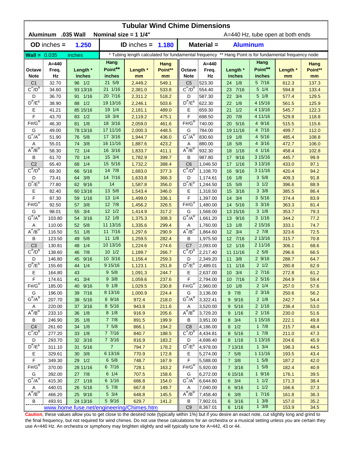| <b>Tubular Wind Chime Dimensions</b><br><b>Aluminum</b><br>.035 Wall<br>Nominal size = $11/4"$<br>A=440 Hz, tube open at both ends |                  |                         |                       |                                                                                                      |                |                                          |                      |                                     |                      |                |               |  |  |
|------------------------------------------------------------------------------------------------------------------------------------|------------------|-------------------------|-----------------------|------------------------------------------------------------------------------------------------------|----------------|------------------------------------------|----------------------|-------------------------------------|----------------------|----------------|---------------|--|--|
|                                                                                                                                    | $OD$ inches $=$  | 1.250                   |                       | ID inches $=$                                                                                        | 1.180          | $Material =$<br><b>Aluminum</b>          |                      |                                     |                      |                |               |  |  |
| $Wall = 0.035$                                                                                                                     |                  | inches                  |                       | * Tubing length calculated for fundamental frequency ** Hang Point is for fundamental frequency node |                |                                          |                      |                                     |                      |                |               |  |  |
|                                                                                                                                    | $A = 440$        |                         | Hang                  |                                                                                                      | Hang           |                                          | $A = 440$            |                                     | Hang                 |                | Hang          |  |  |
| Octave<br><b>Note</b>                                                                                                              | Freq.<br>Hz      | Length *<br>inches      | Point**<br>inches     | Length *<br>mm                                                                                       | Point**<br>mm  | Octave<br><b>Note</b>                    | Freq.<br>Hz          | Length *<br>inches                  | Point**<br>inches    | Length *<br>mm | Point**<br>mm |  |  |
| C <sub>1</sub>                                                                                                                     | 32.70            | 96 1/2                  | 21 5/8                | 2,449.2                                                                                              | 549.1          | C <sub>5</sub>                           | 523.30               | 24 1/8                              | 5 7/16               | 612.3          | 137.3         |  |  |
| $C^{\#}/D^b$                                                                                                                       | 34.60            | 93 13/16                | 21 1/16               | 2,381.0                                                                                              | 533.8          | $C^{\#}/D^D$                             | 554.40               | 23 7/16                             | $5 \t1/4$            | 594.8          | 133.4         |  |  |
| D                                                                                                                                  | 36.70            | 91 1/16                 | 20 7/16               | 2,311.2                                                                                              | 518.2          | D                                        | 587.30               | 22 3/4                              | $5 \frac{1}{8}$      | 577.4          | 129.5         |  |  |
| $D^{\#}/E^b$                                                                                                                       | 38.90            | 88 1/2                  | 19 13/16              | 2,246.1                                                                                              | 503.6          | $D^{\prime\prime}/E^b$                   | 622.30               | 1/8<br>22                           | 4 15/16              | 561.5          | 125.9         |  |  |
| Ε                                                                                                                                  | 41.21            | 85 15/16                | 19 1/4                | 2,181.1                                                                                              | 489.0          | Ε                                        | 659.30               | 21<br>1/2                           | 4 13/16              | 545.7          | 122.3         |  |  |
| F                                                                                                                                  | 43.70            | 1/2<br>83               | 18 3/4                | 2,119.2                                                                                              | 475.1          | F                                        | 698.50               | 7/8<br>20                           | 4 11/16              | 529.8          | 118.8         |  |  |
| $F# / G^D$                                                                                                                         | 46.30            | 1/8<br>81               | 18 3/16               | 2,059.0                                                                                              | 461.6          | $F# / G^D$                               | 740.00               | 5/16<br>20                          | 4 9/16               | 515.5          | 115.6         |  |  |
| G                                                                                                                                  | 49.00            | 78 13/16                | 17 11/16              | 2,000.3                                                                                              | 448.5          | G                                        | 784.00               | 19 11/16                            | 4 7/16               | 499.7          | 112.0         |  |  |
| $G^{\#}/A^D$                                                                                                                       | 51.90            | 5/8<br>76               | 17 3/16               | 1,944.7                                                                                              | 436.0          | $G^{\#}/A^D$                             | 830.60               | 1/8<br>19                           | 4 5/16               | 485.4          | 108.8         |  |  |
| Α<br>$A^{\#}/B^D$                                                                                                                  | 55.01            | 3/8<br>74               | 16 11/16              | 1,887.6                                                                                              | 423.2          | Α                                        | 880.00               | 5/8<br>18                           | 4 3/16               | 472.7          | 106.0         |  |  |
|                                                                                                                                    | 58.30            | 1/4<br>72               | 16 3/16               | 1,833.7                                                                                              | 411.1          | $A^{\#}/B^D$                             | 932.30               | 1/16<br>18                          | 4 1/16               | 458.4          | 102.8         |  |  |
| В                                                                                                                                  | 61.70            | 1/4<br>70               | 15 3/4                | 1,782.9                                                                                              | 399.7          | В                                        | 987.80               | 9/16<br>17                          | 3 15/16              | 445.7          | 99.9          |  |  |
| C <sub>2</sub><br>$C^{\prime\prime}/D^D$                                                                                           | 65.40            | 1/4<br>68               | 15 5/16<br>14 7/8     | 1,732.2                                                                                              | 388.4          | C <sub>6</sub><br>$C^{\prime\prime}/D^D$ | 1,046.50             | 1/16<br>17                          | 3 13/16<br>3 11/16   | 433.0          | 97.1          |  |  |
| D                                                                                                                                  | 69.30<br>73.41   | 5/16<br>66<br>3/8<br>64 | 14 7/16               | 1,683.0                                                                                              | 377.3<br>366.3 | D                                        | 1,108.70<br>1,174.61 | 9/16<br>16<br>1/8<br>16             | 35/8                 | 420.4<br>409.3 | 94.2<br>91.8  |  |  |
| $D^{\pi}/E^b$                                                                                                                      | 77.80            | 62 9/16                 | 14                    | 1,633.8<br>1,587.8                                                                                   | 356.0          | $D^{\#}/E^b$                             | 1,244.50             | 5/8<br>15                           | $3 \frac{1}{2}$      | 396.6          | 88.9          |  |  |
| Е                                                                                                                                  | 82.40            | 60 13/16                | 13 5/8                | 1,543.4                                                                                              | 346.0          | Е                                        | 1,318.50             | 3/16<br>15                          | $3 \frac{3}{8}$      | 385.5          | 86.4          |  |  |
| F                                                                                                                                  | 87.30            | 1/16<br>59              | 13 1/4                | 1,499.0                                                                                              | 336.1          | F                                        | 1,397.00             | 14<br>3/4                           | 35/16                | 374.4          | 83.9          |  |  |
| $F# / G^D$                                                                                                                         | 92.50            | 3/8<br>57               | 12 7/8                | 1,456.2                                                                                              | 326.5          | $F# / G^D$                               | 1,480.00             | 14 5/16                             | $3 \frac{3}{16}$     | 363.3          | 81.4          |  |  |
| G                                                                                                                                  | 98.01            | 3/4<br>55               | $12 \frac{1}{2}$      | 1,414.9                                                                                              | 317.2          | G                                        | 1,568.00             | 13 15/16                            | $3 \frac{1}{8}$      | 353.7          | 79.3          |  |  |
| $G^{\#}/A^D$                                                                                                                       | 103.80           | 3/16<br>54              | $12 \frac{1}{8}$      | 1,375.3                                                                                              | 308.3          | $G^{\#}/A^D$                             | 1,661.20             | 13 9/16                             | $3 \frac{1}{16}$     | 344.2          | 77.2          |  |  |
| Α                                                                                                                                  | 110.00           | 5/8<br>52               | 11 13/16              | 1,335.6                                                                                              | 299.4          | Α                                        | 1,760.00             | 13<br>1/8                           | 2 15/16              | 333.1          | 74.7          |  |  |
| $A^H/B^D$                                                                                                                          | 116.50           | 1/8<br>51               | 11 7/16               | 1,297.6                                                                                              | 290.9          | $A^{\overline{n}}/B^{\overline{D}}$      | 1,864.60             | 12 3/4                              | $2 \t7/8$            | 323.6          | 72.5          |  |  |
| В                                                                                                                                  | 123.50           | 5/8<br>49               | $11 \t1/8$            | 1,259.5                                                                                              | 282.4          | В                                        | 1,975.50             | 12 7/16                             | 2 13/16              | 315.7          | 70.8          |  |  |
| C <sub>3</sub>                                                                                                                     | 130.81           | 1/4<br>48               | 10 13/16              | 1,224.6                                                                                              | 274.6          | C <sub>7</sub>                           | 2,093.00             | 12 1/16                             | 2 11/16              | 306.1          | 68.6          |  |  |
| $C^{\prime\prime}/D^b$                                                                                                             | 138.60           | 7/8<br>46               | 101/2                 | 1,189.7                                                                                              | 266.7          | $C^{\#}/D^b$                             | 2,217.40             | 11 11/16                            | 25/8                 | 296.6          | 66.5          |  |  |
| D                                                                                                                                  | 146.80           | 9/16<br>45              | 10 3/16               | 1,156.4                                                                                              | 259.3          | D                                        | 2,349.20             | 11 3/8                              | 29/16                | 288.7          | 64.7          |  |  |
| $D^{\prime\prime}/E^b$                                                                                                             | 155.60           | 1/4<br>44               | 9 15/16               | 1,123.1                                                                                              | 251.8          | $D^{\#}/E^b$                             | 2,489.01             | 11<br>1/16                          | $2 \frac{1}{2}$      | 280.8          | 62.9          |  |  |
| Е                                                                                                                                  | 164.80           | 43                      | $9 \frac{5}{8}$       | 1,091.3                                                                                              | 244.7          | Е                                        | 2,637.00             | $10 \t3/4$                          | 27/16                | 272.8          | 61.2          |  |  |
| F                                                                                                                                  | 174.61           | 41<br>3/4               | 9 3/8                 | 1,059.6                                                                                              | 237.6          | F                                        | 2,794.00             | 10 7/16                             | $2\frac{5}{16}$      | 264.9          | 59.4          |  |  |
| $F# / G^D$                                                                                                                         | 185.00           | 40 9/16                 | 9 1/8                 | 1,029.5                                                                                              | 230.8          | $F#/\overline{G}^D$                      | 2,960.00             | $10 \t1/8$                          | $2 \frac{1}{4}$      | 257.0          | 57.6          |  |  |
| G                                                                                                                                  | 196.00           | 39 7/16                 | 8 13/16               | 1,000.9                                                                                              | 224.4          | G                                        | 3,136.00             | $9 \t7/8$                           | $2 \frac{3}{16}$     | 250.6          | 56.2          |  |  |
| $G^{\#}/A^D$                                                                                                                       | 207.70           | 38 5/16                 | 8 9/16                | 972.4                                                                                                | 218.0          | $G^H/A^D$                                | 3,322.41             | 9 9/16                              | $2 \frac{1}{8}$      | 242.7          | 54.4          |  |  |
| Α                                                                                                                                  | 220.00           | 37 <sup>2</sup><br>3/16 | 8 5/16                | 943.8                                                                                                | 211.6          | Α                                        | 3,520.00             | 9 5/16                              | $2 \frac{1}{16}$     | 236.4          | 53.0          |  |  |
| $A^{\#}/B^D$                                                                                                                       | 233.10           | 1/8<br>36               | $8 \frac{1}{8}$       | 916.9                                                                                                | 205.6          | $A^{\overline{n}}/B^{\overline{D}}$      | 3,729.20             | 9 1/16                              | $2 \frac{1}{16}$     | 230.0          | 51.6          |  |  |
| В                                                                                                                                  | 246.90           | 1/8<br>35               | $7 \t7/8$             | 891.5                                                                                                | 199.9          | В                                        | 3,951.00             | 8 3/4                               | 1 15/16              | 222.1          | 49.8          |  |  |
| C <sub>4</sub>                                                                                                                     | 261.60           | 34 1/8                  | $7\frac{5}{8}$        | 866.1                                                                                                | 194.2          | C <sub>8</sub>                           | 4,186.00             | $8 \t1/2$                           | $1 \t7/8$            | 215.7          | 48.4          |  |  |
| $C^{\overline{r}}/D^b$                                                                                                             | 277.20           | 33 1/8                  | 7 7/16                | 840.7                                                                                                | 188.5          | $C^{\pi}/D^b$                            | 4,434.81             | 8 5/16                              | $1 \t7/8$            | 211.0          | 47.3          |  |  |
| D<br>$D^{\frac{\pi}{r}}/E^b$                                                                                                       | 293.70           | 32 3/16                 | $7 \frac{3}{16}$      | 816.9                                                                                                | 183.2          | D                                        | 4,698.40             | 8 1/16                              | 1 13/16              | 204.6          | 45.9          |  |  |
|                                                                                                                                    | 311.10           | 5/16<br>31              | 7 <sup>7</sup>        | 794.7                                                                                                | 178.2          | $D^{\#}/E^b$                             | 4,978.00             | 7 13/16                             | $1 \frac{3}{4}$      | 198.3          | 44.5          |  |  |
| Е<br>F                                                                                                                             | 329.61<br>349.30 | 30 3/8<br>29 1/2        | 6 13/16<br>$6\;\;5/8$ | 770.9                                                                                                | 172.8          | Е<br>F                                   | 5,274.00             | $7 \t5/8$                           | 1 11/16<br>$1 \t5/8$ | 193.5          | 43.4<br>42.0  |  |  |
| $F# / G^D$                                                                                                                         | 370.00           | 28 11/16                | 6 7/16                | 748.7<br>728.1                                                                                       | 167.9<br>163.2 | $F# / G^D$                               | 5,588.00<br>5,920.00 | $7 \frac{3}{8}$<br>$7 \frac{3}{16}$ | $1 \t5/8$            | 187.2<br>182.4 | 40.9          |  |  |
| G                                                                                                                                  | 392.00           | 27 7/8                  | $6 \t1/4$             | 707.5                                                                                                | 158.6          | G                                        | 6,272.00             | 6 15/16                             | $1 \frac{9}{16}$     | 176.1          | 39.5          |  |  |
| $G^{\#}/A^D$                                                                                                                       | 415.30           | 27 1/16                 | 6 1/16                | 686.8                                                                                                | 154.0          | $G^H/A^D$                                | 6,644.80             | $6 \t3/4$                           | $1 \t1/2$            | 171.3          | 38.4          |  |  |
| A                                                                                                                                  | 440.01           | 26 5/16                 | $5 \frac{7}{8}$       | 667.8                                                                                                | 149.7          | A                                        | 7,040.00             | 6 9/16                              | $1 \t1/2$            | 166.6          | 37.3          |  |  |
| $A^H/B^D$                                                                                                                          | 466.20           | 25 9/16                 | $5 \frac{3}{4}$       | 648.8                                                                                                | 145.5          | $A^H/B^D$                                | 7,458.40             | $6 \t3/8$                           | 17/16                | 161.8          | 36.3          |  |  |
| B                                                                                                                                  | 493.91           | 24 13/16                | 5 9/16                | 629.7                                                                                                | 141.2          | В                                        | 7,902.01             | 6 3/16                              | $1 \frac{3}{8}$      | 157.0          | 35.2          |  |  |
| www.home.fuse.net/engineering/Chimes.htm                                                                                           |                  |                         |                       |                                                                                                      |                |                                          | 8,367.01             | 6 1/16                              | $1 \frac{3}{8}$      | 153.9          | 34.5          |  |  |